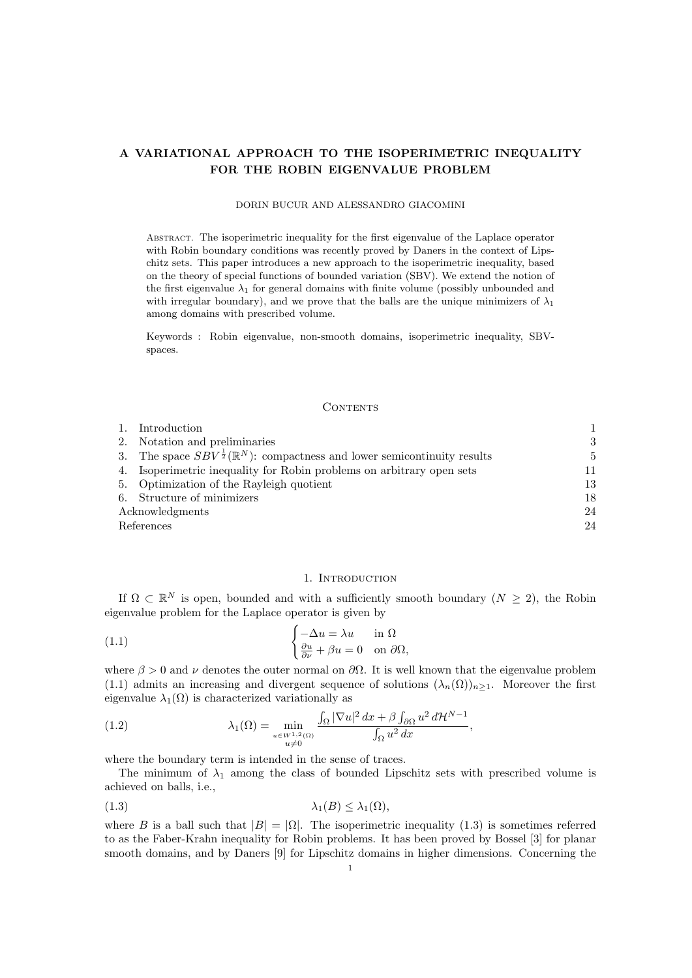# A VARIATIONAL APPROACH TO THE ISOPERIMETRIC INEQUALITY FOR THE ROBIN EIGENVALUE PROBLEM

#### DORIN BUCUR AND ALESSANDRO GIACOMINI

ABSTRACT. The isoperimetric inequality for the first eigenvalue of the Laplace operator with Robin boundary conditions was recently proved by Daners in the context of Lipschitz sets. This paper introduces a new approach to the isoperimetric inequality, based on the theory of special functions of bounded variation (SBV). We extend the notion of the first eigenvalue  $\lambda_1$  for general domains with finite volume (possibly unbounded and with irregular boundary), and we prove that the balls are the unique minimizers of  $\lambda_1$ among domains with prescribed volume.

Keywords : Robin eigenvalue, non-smooth domains, isoperimetric inequality, SBVspaces.

### CONTENTS

|                 | 1. Introduction                                                                                 |    |
|-----------------|-------------------------------------------------------------------------------------------------|----|
|                 | 2. Notation and preliminaries                                                                   | 3  |
|                 | 3. The space $SBV^{\frac{1}{2}}(\mathbb{R}^{N})$ : compactness and lower semicontinuity results | 5  |
|                 | 4. Isoperimetric inequality for Robin problems on arbitrary open sets                           | 11 |
|                 | 5. Optimization of the Rayleigh quotient                                                        | 13 |
|                 | 6. Structure of minimizers                                                                      | 18 |
| Acknowledgments |                                                                                                 | 24 |
| References      |                                                                                                 | 24 |

### 1. INTRODUCTION

If  $\Omega \subset \mathbb{R}^N$  is open, bounded and with a sufficiently smooth boundary  $(N \geq 2)$ , the Robin eigenvalue problem for the Laplace operator is given by

(1.1) 
$$
\begin{cases} -\Delta u = \lambda u & \text{in } \Omega \\ \frac{\partial u}{\partial \nu} + \beta u = 0 & \text{on } \partial \Omega, \end{cases}
$$

where  $\beta > 0$  and  $\nu$  denotes the outer normal on  $\partial\Omega$ . It is well known that the eigenvalue problem (1.1) admits an increasing and divergent sequence of solutions  $(\lambda_n(\Omega))_{n\geq 1}$ . Moreover the first eigenvalue  $\lambda_1(\Omega)$  is characterized variationally as

(1.2) 
$$
\lambda_1(\Omega) = \min_{\substack{u \in W^{1,2}(\Omega) \\ u \neq 0}} \frac{\int_{\Omega} |\nabla u|^2 dx + \beta \int_{\partial \Omega} u^2 d\mathcal{H}^{N-1}}{\int_{\Omega} u^2 dx},
$$

where the boundary term is intended in the sense of traces.

The minimum of  $\lambda_1$  among the class of bounded Lipschitz sets with prescribed volume is achieved on balls, i.e.,

$$
\lambda_1(B) \le \lambda_1(\Omega),
$$

where B is a ball such that  $|B| = |\Omega|$ . The isoperimetric inequality (1.3) is sometimes referred to as the Faber-Krahn inequality for Robin problems. It has been proved by Bossel [3] for planar smooth domains, and by Daners [9] for Lipschitz domains in higher dimensions. Concerning the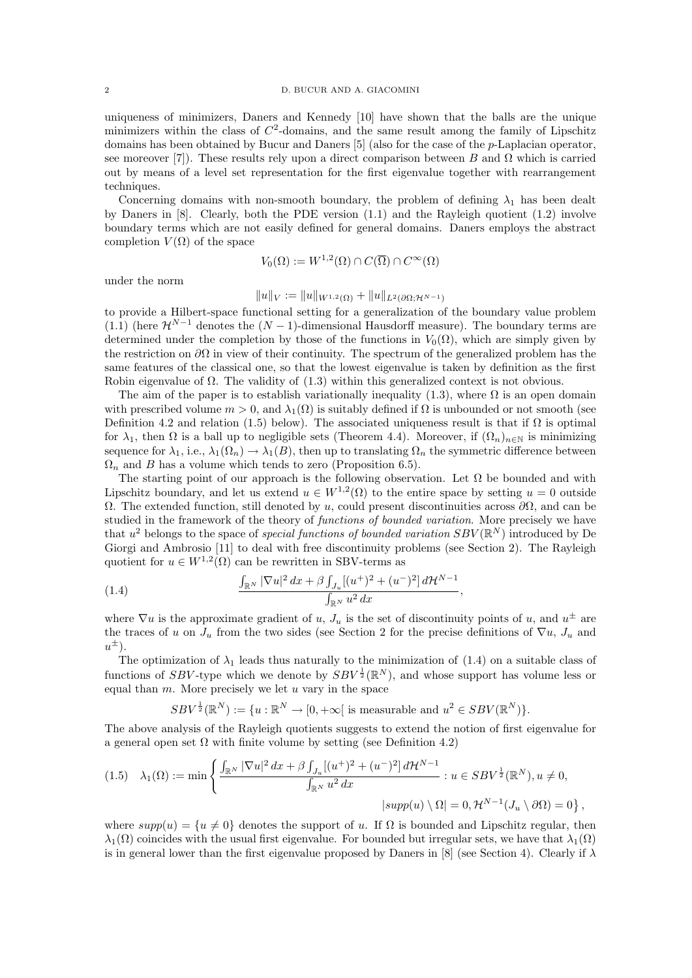uniqueness of minimizers, Daners and Kennedy [10] have shown that the balls are the unique minimizers within the class of  $C^2$ -domains, and the same result among the family of Lipschitz domains has been obtained by Bucur and Daners [5] (also for the case of the p-Laplacian operator, see moreover [7]). These results rely upon a direct comparison between B and  $\Omega$  which is carried out by means of a level set representation for the first eigenvalue together with rearrangement techniques.

Concerning domains with non-smooth boundary, the problem of defining  $\lambda_1$  has been dealt by Daners in [8]. Clearly, both the PDE version (1.1) and the Rayleigh quotient (1.2) involve boundary terms which are not easily defined for general domains. Daners employs the abstract completion  $V(\Omega)$  of the space

$$
V_0(\Omega) := W^{1,2}(\Omega) \cap C(\overline{\Omega}) \cap C^{\infty}(\Omega)
$$

under the norm

$$
||u||_V := ||u||_{W^{1,2}(\Omega)} + ||u||_{L^2(\partial\Omega; \mathcal{H}^{N-1})}
$$

to provide a Hilbert-space functional setting for a generalization of the boundary value problem (1.1) (here  $\mathcal{H}^{N-1}$  denotes the  $(N-1)$ -dimensional Hausdorff measure). The boundary terms are determined under the completion by those of the functions in  $V_0(\Omega)$ , which are simply given by the restriction on  $\partial\Omega$  in view of their continuity. The spectrum of the generalized problem has the same features of the classical one, so that the lowest eigenvalue is taken by definition as the first Robin eigenvalue of  $\Omega$ . The validity of (1.3) within this generalized context is not obvious.

The aim of the paper is to establish variationally inequality (1.3), where  $\Omega$  is an open domain with prescribed volume  $m > 0$ , and  $\lambda_1(\Omega)$  is suitably defined if  $\Omega$  is unbounded or not smooth (see Definition 4.2 and relation (1.5) below). The associated uniqueness result is that if  $\Omega$  is optimal for  $\lambda_1$ , then  $\Omega$  is a ball up to negligible sets (Theorem 4.4). Moreover, if  $(\Omega_n)_{n\in\mathbb{N}}$  is minimizing sequence for  $\lambda_1$ , i.e.,  $\lambda_1(\Omega_n) \to \lambda_1(B)$ , then up to translating  $\Omega_n$  the symmetric difference between  $\Omega_n$  and B has a volume which tends to zero (Proposition 6.5).

The starting point of our approach is the following observation. Let  $\Omega$  be bounded and with Lipschitz boundary, and let us extend  $u \in W^{1,2}(\Omega)$  to the entire space by setting  $u = 0$  outside Ω. The extended function, still denoted by u, could present discontinuities across ∂Ω, and can be studied in the framework of the theory of functions of bounded variation. More precisely we have that  $u^2$  belongs to the space of special functions of bounded variation  $SBV(\mathbb{R}^N)$  introduced by De Giorgi and Ambrosio [11] to deal with free discontinuity problems (see Section 2). The Rayleigh quotient for  $u \in W^{1,2}(\Omega)$  can be rewritten in SBV-terms as

(1.4) 
$$
\frac{\int_{\mathbb{R}^N} |\nabla u|^2 dx + \beta \int_{J_u} [(u^+)^2 + (u^-)^2] d\mathcal{H}^{N-1}}{\int_{\mathbb{R}^N} u^2 dx},
$$

where  $\nabla u$  is the approximate gradient of u,  $J_u$  is the set of discontinuity points of u, and  $u^{\pm}$  are the traces of u on  $J_u$  from the two sides (see Section 2 for the precise definitions of  $\nabla u$ ,  $J_u$  and  $u^{\pm}$ ).

The optimization of  $\lambda_1$  leads thus naturally to the minimization of (1.4) on a suitable class of functions of SBV-type which we denote by  $SBV^{\frac{1}{2}}(\mathbb{R}^{N})$ , and whose support has volume less or equal than  $m$ . More precisely we let  $u$  vary in the space

 $SBV^{\frac{1}{2}}(\mathbb{R}^N):=\{u:\mathbb{R}^N\to[0,+\infty[$  is measurable and  $u^2\in SBV(\mathbb{R}^N)\}.$ 

The above analysis of the Rayleigh quotients suggests to extend the notion of first eigenvalue for a general open set  $\Omega$  with finite volume by setting (see Definition 4.2)

$$
(1.5) \quad \lambda_1(\Omega) := \min \left\{ \frac{\int_{\mathbb{R}^N} |\nabla u|^2 dx + \beta \int_{J_u} [(u^+)^2 + (u^-)^2] d\mathcal{H}^{N-1}}{\int_{\mathbb{R}^N} u^2 dx} : u \in SBV^{\frac{1}{2}}(\mathbb{R}^N), u \neq 0, \right\}
$$
\n
$$
|supp(u) \setminus \Omega| = 0, \mathcal{H}^{N-1}(J_u \setminus \partial \Omega) = 0 \right\},
$$

where  $supp(u) = \{u \neq 0\}$  denotes the support of u. If  $\Omega$  is bounded and Lipschitz regular, then  $\lambda_1(\Omega)$  coincides with the usual first eigenvalue. For bounded but irregular sets, we have that  $\lambda_1(\Omega)$ is in general lower than the first eigenvalue proposed by Daners in [8] (see Section 4). Clearly if  $\lambda$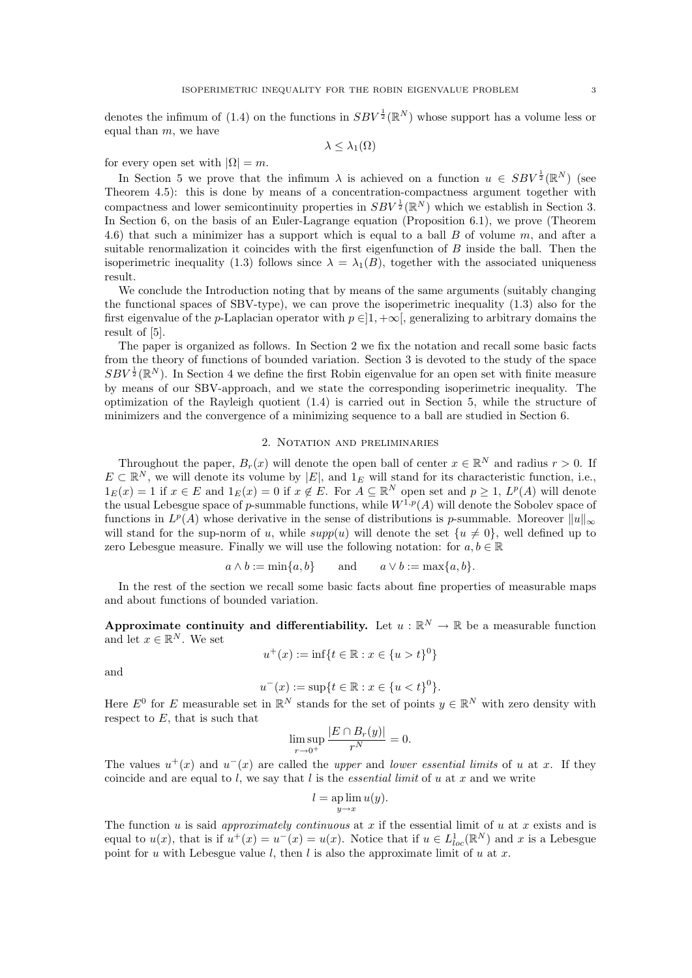denotes the infimum of (1.4) on the functions in  $SBV^{\frac{1}{2}}(\mathbb{R}^{N})$  whose support has a volume less or equal than  $m$ , we have

 $\lambda \leq \lambda_1(\Omega)$ 

for every open set with  $|\Omega| = m$ .

In Section 5 we prove that the infimum  $\lambda$  is achieved on a function  $u \in SBV^{\frac{1}{2}}(\mathbb{R}^N)$  (see Theorem 4.5): this is done by means of a concentration-compactness argument together with compactness and lower semicontinuity properties in  $SBV^{\frac{1}{2}}(\mathbb{R}^{N})$  which we establish in Section 3. In Section 6, on the basis of an Euler-Lagrange equation (Proposition 6.1), we prove (Theorem 4.6) that such a minimizer has a support which is equal to a ball  $B$  of volume  $m$ , and after a suitable renormalization it coincides with the first eigenfunction of  $B$  inside the ball. Then the isoperimetric inequality (1.3) follows since  $\lambda = \lambda_1(B)$ , together with the associated uniqueness result.

We conclude the Introduction noting that by means of the same arguments (suitably changing the functional spaces of SBV-type), we can prove the isoperimetric inequality (1.3) also for the first eigenvalue of the p-Laplacian operator with  $p \in ]1, +\infty[$ , generalizing to arbitrary domains the result of [5].

The paper is organized as follows. In Section 2 we fix the notation and recall some basic facts from the theory of functions of bounded variation. Section 3 is devoted to the study of the space  $SBV^{\frac{1}{2}}(\mathbb{R}^{N})$ . In Section 4 we define the first Robin eigenvalue for an open set with finite measure by means of our SBV-approach, and we state the corresponding isoperimetric inequality. The optimization of the Rayleigh quotient (1.4) is carried out in Section 5, while the structure of minimizers and the convergence of a minimizing sequence to a ball are studied in Section 6.

### 2. Notation and preliminaries

Throughout the paper,  $B_r(x)$  will denote the open ball of center  $x \in \mathbb{R}^N$  and radius  $r > 0$ . If  $E \subset \mathbb{R}^N$ , we will denote its volume by  $|E|$ , and  $1_E$  will stand for its characteristic function, i.e.,  $1_E(x) = 1$  if  $x \in E$  and  $1_E(x) = 0$  if  $x \notin E$ . For  $A \subseteq \mathbb{R}^N$  open set and  $p \ge 1$ ,  $L^p(A)$  will denote the usual Lebesgue space of p-summable functions, while  $W^{1,p}(A)$  will denote the Sobolev space of functions in  $L^p(A)$  whose derivative in the sense of distributions is p-summable. Moreover  $||u||_{\infty}$ will stand for the sup-norm of u, while  $supp(u)$  will denote the set  $\{u \neq 0\}$ , well defined up to zero Lebesgue measure. Finally we will use the following notation: for  $a, b \in \mathbb{R}$ 

$$
a \wedge b := \min\{a, b\}
$$
 and  $a \vee b := \max\{a, b\}.$ 

In the rest of the section we recall some basic facts about fine properties of measurable maps and about functions of bounded variation.

Approximate continuity and differentiability. Let  $u : \mathbb{R}^N \to \mathbb{R}$  be a measurable function and let  $x \in \mathbb{R}^N$ . We set

$$
u^+(x) := \inf\{t \in \mathbb{R} : x \in \{u > t\}^0\}
$$

and

$$
u^{-}(x) := \sup\{t \in \mathbb{R} : x \in \{u < t\}^{0}\}.
$$

Here  $E^0$  for E measurable set in  $\mathbb{R}^N$  stands for the set of points  $y \in \mathbb{R}^N$  with zero density with respect to  $E$ , that is such that

$$
\limsup_{r \to 0^+} \frac{|E \cap B_r(y)|}{r^N} = 0.
$$

The values  $u^+(x)$  and  $u^-(x)$  are called the upper and lower essential limits of u at x. If they coincide and are equal to l, we say that l is the *essential limit* of u at x and we write

$$
l = \operatorname*{ap}_{y \to x} \lim u(y).
$$

The function  $u$  is said *approximately continuous* at  $x$  if the essential limit of  $u$  at  $x$  exists and is equal to  $u(x)$ , that is if  $u^+(x) = u^-(x) = u(x)$ . Notice that if  $u \in L^1_{loc}(\mathbb{R}^N)$  and x is a Lebesgue point for u with Lebesgue value l, then l is also the approximate limit of u at x.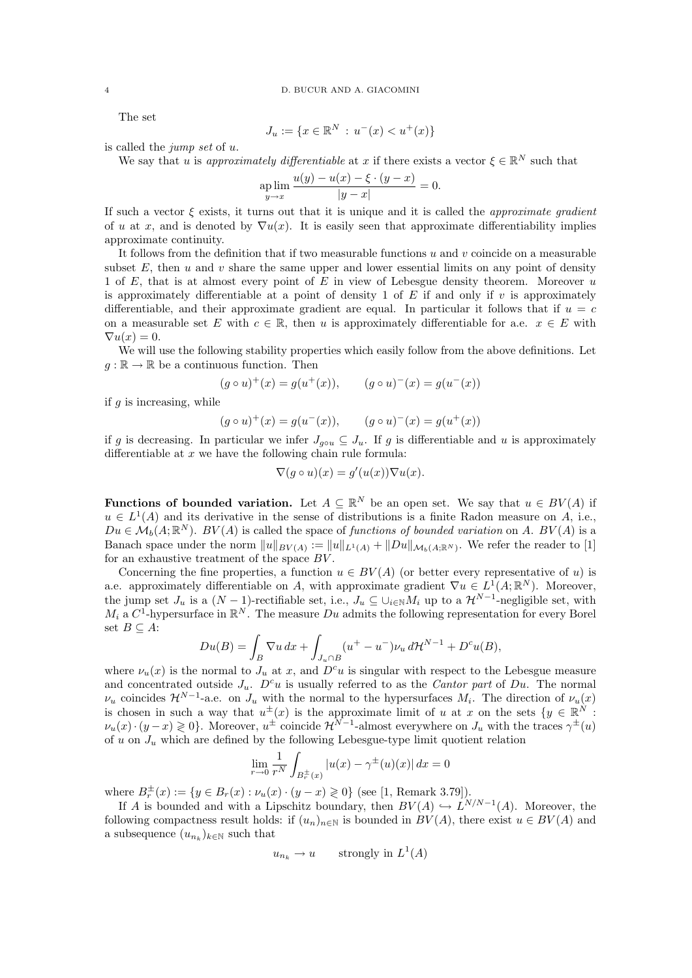The set

$$
J_u := \{ x \in \mathbb{R}^N \, : \, u^-(x) < u^+(x) \}
$$

is called the jump set of u.

We say that u is approximately differentiable at x if there exists a vector  $\xi \in \mathbb{R}^N$  such that

$$
\sup_{y \to x} \lim \frac{u(y) - u(x) - \xi \cdot (y - x)}{|y - x|} = 0.
$$

If such a vector  $\xi$  exists, it turns out that it is unique and it is called the *approximate gradient* of u at x, and is denoted by  $\nabla u(x)$ . It is easily seen that approximate differentiability implies approximate continuity.

It follows from the definition that if two measurable functions  $u$  and  $v$  coincide on a measurable subset E, then u and v share the same upper and lower essential limits on any point of density 1 of E, that is at almost every point of E in view of Lebesgue density theorem. Moreover  $u$ is approximately differentiable at a point of density 1 of  $E$  if and only if v is approximately differentiable, and their approximate gradient are equal. In particular it follows that if  $u = c$ on a measurable set E with  $c \in \mathbb{R}$ , then u is approximately differentiable for a.e.  $x \in E$  with  $\nabla u(x) = 0.$ 

We will use the following stability properties which easily follow from the above definitions. Let  $q : \mathbb{R} \to \mathbb{R}$  be a continuous function. Then

$$
g \circ u)^+(x) = g(u^+(x)), \qquad (g \circ u)^-(x) = g(u^-(x))
$$

if  $q$  is increasing, while

 $\mathcal{L}_{g}$ 

$$
(g \circ u)^+(x) = g(u^-(x)), \qquad (g \circ u)^-(x) = g(u^+(x))
$$

if g is decreasing. In particular we infer  $J_{q\circ u} \subseteq J_u$ . If g is differentiable and u is approximately differentiable at  $x$  we have the following chain rule formula:

$$
\nabla (g \circ u)(x) = g'(u(x)) \nabla u(x).
$$

**Functions of bounded variation.** Let  $A \subseteq \mathbb{R}^N$  be an open set. We say that  $u \in BV(A)$  if  $u \in L^1(A)$  and its derivative in the sense of distributions is a finite Radon measure on A, i.e.,  $Du \in \mathcal{M}_b(A;\mathbb{R}^N)$ .  $BV(A)$  is called the space of functions of bounded variation on A.  $BV(A)$  is a Banach space under the norm  $||u||_{BV(A)} := ||u||_{L^1(A)} + ||Du||_{\mathcal{M}_b(A;\mathbb{R}^N)}$ . We refer the reader to [1] for an exhaustive treatment of the space  $BV$ .

Concerning the fine properties, a function  $u \in BV(A)$  (or better every representative of u) is a.e. approximately differentiable on A, with approximate gradient  $\nabla u \in L^1(A; \mathbb{R}^N)$ . Moreover, the jump set  $J_u$  is a  $(N-1)$ -rectifiable set, i.e.,  $J_u \subseteq \bigcup_{i \in \mathbb{N}} M_i$  up to a  $\mathcal{H}^{N-1}$ -negligible set, with  $M_i$  a  $C^1$ -hypersurface in  $\mathbb{R}^N$ . The measure  $Du$  admits the following representation for every Borel set  $B \subseteq A$ :

$$
Du(B) = \int_B \nabla u \, dx + \int_{J_u \cap B} (u^+ - u^-) \nu_u \, d\mathcal{H}^{N-1} + D^c u(B),
$$

where  $\nu_u(x)$  is the normal to  $J_u$  at x, and  $D^c u$  is singular with respect to the Lebesgue measure and concentrated outside  $J_u$ .  $D^c u$  is usually referred to as the *Cantor part* of Du. The normal  $\nu_u$  coincides  $\mathcal{H}^{N-1}$ -a.e. on  $J_u$  with the normal to the hypersurfaces  $M_i$ . The direction of  $\nu_u(x)$ is chosen in such a way that  $u^{\pm}(x)$  is the approximate limit of u at x on the sets  $\{y \in \mathbb{R}^{N}$ .  $\nu_u(x) \cdot (y-x) \geq 0$ . Moreover,  $u^{\pm}$  coincide  $\mathcal{H}^{N-1}$ -almost everywhere on  $J_u$  with the traces  $\gamma^{\pm}(u)$ of u on  $J_u$  which are defined by the following Lebesgue-type limit quotient relation

$$
\lim_{r \to 0} \frac{1}{r^N} \int_{B_r^{\pm}(x)} |u(x) - \gamma^{\pm}(u)(x)| \, dx = 0
$$

where  $B_r^{\pm}(x) := \{y \in B_r(x) : \nu_u(x) \cdot (y - x) \geq 0\}$  (see [1, Remark 3.79]).

If A is bounded and with a Lipschitz boundary, then  $BV(A) \hookrightarrow L^{N/N-1}(A)$ . Moreover, the following compactness result holds: if  $(u_n)_{n\in\mathbb{N}}$  is bounded in  $BV(A)$ , there exist  $u \in BV(A)$  and a subsequence  $(u_{n_k})_{k \in \mathbb{N}}$  such that

$$
u_{n_k} \to u \qquad \text{strongly in } L^1(A)
$$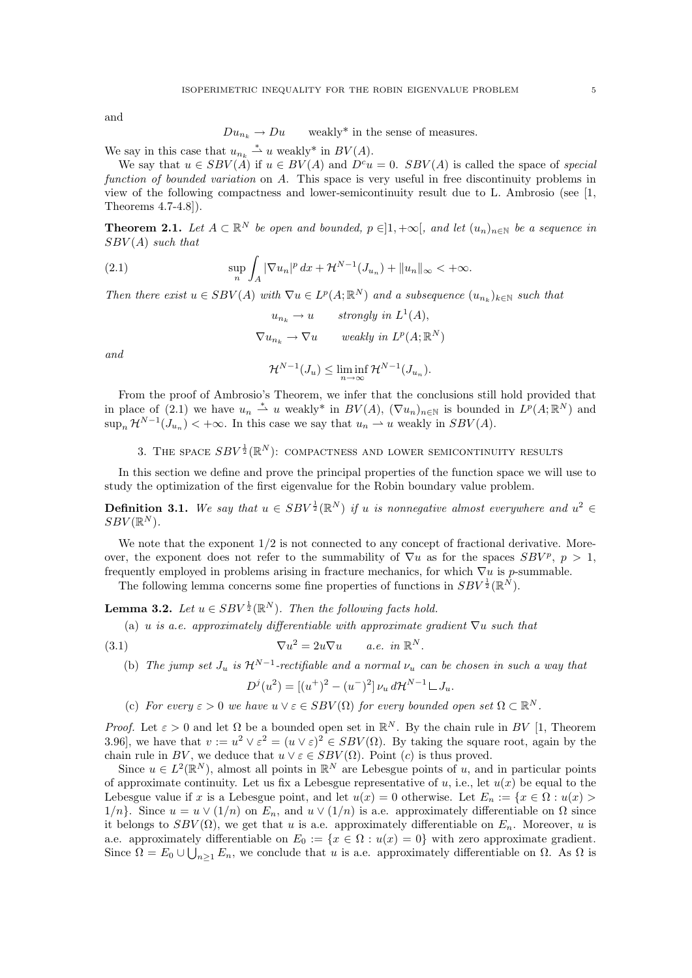and

$$
Du_{n_k} \to Du \qquad weakly^* \text{ in the sense of measures.}
$$

We say in this case that  $u_{n_k} \stackrel{*}{\rightharpoonup} u$  weakly\* in  $BV(A)$ .

We say that  $u \in SBV(A)$  if  $u \in BV(A)$  and  $D^c u = 0$ .  $SBV(A)$  is called the space of special function of bounded variation on A. This space is very useful in free discontinuity problems in view of the following compactness and lower-semicontinuity result due to L. Ambrosio (see [1, Theorems 4.7-4.8]).

**Theorem 2.1.** Let  $A \subset \mathbb{R}^N$  be open and bounded,  $p \in ]1, +\infty[$ , and let  $(u_n)_{n \in \mathbb{N}}$  be a sequence in  $SBV(A)$  such that

(2.1) 
$$
\sup_{n} \int_{A} |\nabla u_{n}|^{p} dx + \mathcal{H}^{N-1}(J_{u_{n}}) + ||u_{n}||_{\infty} < +\infty.
$$

Then there exist  $u \in SBV(A)$  with  $\nabla u \in L^p(A; \mathbb{R}^N)$  and a subsequence  $(u_{n_k})_{k \in \mathbb{N}}$  such that

$$
u_{n_k} \to u \qquad strongly \ in \ L^1(A),
$$
  

$$
\nabla u_{n_k} \to \nabla u \qquad weakly \ in \ L^p(A; \mathbb{R}^N)
$$

and

 $\mathcal{H}^{N-1}(J_u) \leq \liminf_{n \to \infty} \mathcal{H}^{N-1}(J_{u_n}).$ 

From the proof of Ambrosio's Theorem, we infer that the conclusions still hold provided that in place of (2.1) we have  $u_n \stackrel{*}{\rightharpoonup} u$  weakly\* in  $BV(A), \ (\nabla u_n)_{n \in \mathbb{N}}$  is bounded in  $L^p(A; \mathbb{R}^N)$  and  $\sup_n \mathcal{H}^{N-1}(J_{u_n}) < +\infty$ . In this case we say that  $u_n \rightharpoonup u$  weakly in  $SBV(A)$ .

3. THE SPACE  $SBV^{\frac{1}{2}}(\mathbb{R}^{N})$ : COMPACTNESS AND LOWER SEMICONTINUITY RESULTS

In this section we define and prove the principal properties of the function space we will use to study the optimization of the first eigenvalue for the Robin boundary value problem.

**Definition 3.1.** We say that  $u \in SBV^{\frac{1}{2}}(\mathbb{R}^{N})$  if u is nonnegative almost everywhere and  $u^{2} \in$  $SBV(\mathbb{R}^N)$ .

We note that the exponent  $1/2$  is not connected to any concept of fractional derivative. Moreover, the exponent does not refer to the summability of  $\nabla u$  as for the spaces  $SBV^p$ ,  $p > 1$ , frequently employed in problems arising in fracture mechanics, for which  $\nabla u$  is *p*-summable. The following lemma concerns some fine properties of functions in  $SBV^{\frac{1}{2}}(\mathbb{R}^{N})$ .

**Lemma 3.2.** Let  $u \in SBV^{\frac{1}{2}}(\mathbb{R}^N)$ . Then the following facts hold.

(a) u is a.e. approximately differentiable with approximate gradient  $\nabla u$  such that

(3.1) 
$$
\nabla u^2 = 2u\nabla u \qquad a.e. \quad in \ \mathbb{R}^N.
$$

(b) The jump set  $J_u$  is  $\mathcal{H}^{N-1}$ -rectifiable and a normal  $\nu_u$  can be chosen in such a way that

$$
D^{j}(u^{2}) = [(u^{+})^{2} - (u^{-})^{2}] \nu_{u} d\mathcal{H}^{N-1} \mathcal{L} J_{u}.
$$

(c) For every  $\varepsilon > 0$  we have  $u \vee \varepsilon \in SBV(\Omega)$  for every bounded open set  $\Omega \subset \mathbb{R}^N$ .

*Proof.* Let  $\varepsilon > 0$  and let  $\Omega$  be a bounded open set in  $\mathbb{R}^N$ . By the chain rule in BV [1, Theorem 3.96, we have that  $v := u^2 \vee \varepsilon^2 = (u \vee \varepsilon)^2 \in SBV(\Omega)$ . By taking the square root, again by the chain rule in BV, we deduce that  $u \vee \varepsilon \in SBV(\Omega)$ . Point (c) is thus proved.

Since  $u \in L^2(\mathbb{R}^N)$ , almost all points in  $\mathbb{R}^N$  are Lebesgue points of u, and in particular points of approximate continuity. Let us fix a Lebesgue representative of u, i.e., let  $u(x)$  be equal to the Lebesgue value if x is a Lebesgue point, and let  $u(x) = 0$  otherwise. Let  $E_n := \{x \in \Omega : u(x) >$  $1/n$ . Since  $u = u \vee (1/n)$  on  $E_n$ , and  $u \vee (1/n)$  is a.e. approximately differentiable on  $\Omega$  since it belongs to  $SBV(\Omega)$ , we get that u is a.e. approximately differentiable on  $E_n$ . Moreover, u is a.e. approximately differentiable on  $E_0 := \{x \in \Omega : u(x) = 0\}$  with zero approximate gradient. Since  $\Omega = E_0 \cup \bigcup_{n \geq 1} E_n$ , we conclude that u is a.e. approximately differentiable on  $\Omega$ . As  $\Omega$  is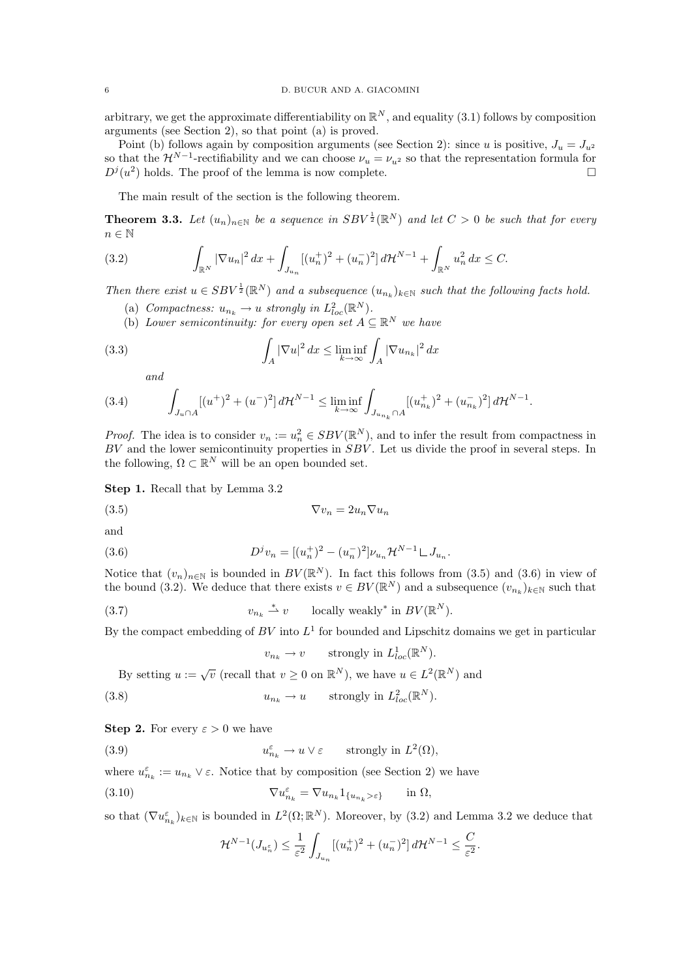arbitrary, we get the approximate differentiability on  $\mathbb{R}^N$ , and equality (3.1) follows by composition arguments (see Section 2), so that point (a) is proved.

Point (b) follows again by composition arguments (see Section 2): since u is positive,  $J_u = J_{u^2}$ so that the  $\mathcal{H}^{N-1}$ -rectifiability and we can choose  $\nu_u = \nu_{u^2}$  so that the representation formula for  $D^j(u^2)$  holds. The proof of the lemma is now complete.

The main result of the section is the following theorem.

**Theorem 3.3.** Let  $(u_n)_{n\in\mathbb{N}}$  be a sequence in  $SBV^{\frac{1}{2}}(\mathbb{R}^N)$  and let  $C>0$  be such that for every  $n \in \mathbb{N}$ 

(3.2) 
$$
\int_{\mathbb{R}^N} |\nabla u_n|^2 dx + \int_{J_{u_n}} [(u_n^+)^2 + (u_n^-)^2] d\mathcal{H}^{N-1} + \int_{\mathbb{R}^N} u_n^2 dx \leq C.
$$

Then there exist  $u \in SBV^{\frac{1}{2}}(\mathbb{R}^N)$  and a subsequence  $(u_{n_k})_{k \in \mathbb{N}}$  such that the following facts hold.

- (a) Compactness:  $u_{n_k} \to u$  strongly in  $L^2_{loc}(\mathbb{R}^N)$ .
- (b) Lower semicontinuity: for every open set  $A \subseteq \mathbb{R}^N$  we have

(3.3) 
$$
\int_{A} |\nabla u|^2 dx \le \liminf_{k \to \infty} \int_{A} |\nabla u_{n_k}|^2 dx
$$

and

$$
(3.4) \qquad \int_{J_u \cap A} [(u^+)^2 + (u^-)^2] \, d\mathcal{H}^{N-1} \le \liminf_{k \to \infty} \int_{J_{u_{n_k}} \cap A} [(u^+_{n_k})^2 + (u^-_{n_k})^2] \, d\mathcal{H}^{N-1}.
$$

*Proof.* The idea is to consider  $v_n := u_n^2 \in SBV(\mathbb{R}^N)$ , and to infer the result from compactness in  $BV$  and the lower semicontinuity properties in  $SBV$ . Let us divide the proof in several steps. In the following,  $\Omega \subset \mathbb{R}^N$  will be an open bounded set.

Step 1. Recall that by Lemma 3.2

$$
\nabla v_n = 2u_n \nabla u_n
$$

and

(3.6) 
$$
D^{j}v_{n} = [(u_{n}^{+})^{2} - (u_{n}^{-})^{2}] \nu_{u_{n}} \mathcal{H}^{N-1} \mathcal{L} J_{u_{n}}.
$$

Notice that  $(v_n)_{n\in\mathbb{N}}$  is bounded in  $BV(\mathbb{R}^N)$ . In fact this follows from (3.5) and (3.6) in view of the bound (3.2). We deduce that there exists  $v \in BV(\mathbb{R}^N)$  and a subsequence  $(v_{n_k})_{k \in \mathbb{N}}$  such that

(3.7) 
$$
v_{n_k} \stackrel{*}{\rightharpoonup} v \qquad \text{locally weakly* in } BV(\mathbb{R}^N).
$$

By the compact embedding of  $BV$  into  $L^1$  for bounded and Lipschitz domains we get in particular

$$
v_{n_k} \to v
$$
 strongly in  $L^1_{loc}(\mathbb{R}^N)$ .

By setting  $u := \sqrt{v}$  (recall that  $v \ge 0$  on  $\mathbb{R}^N$ ), we have  $u \in L^2(\mathbb{R}^N)$  and

(3.8) 
$$
u_{n_k} \to u \quad \text{strongly in } L^2_{loc}(\mathbb{R}^N).
$$

**Step 2.** For every  $\varepsilon > 0$  we have

(3.9) 
$$
u_{n_k}^{\varepsilon} \to u \vee \varepsilon \quad \text{strongly in } L^2(\Omega),
$$

where  $u_{n_k}^{\varepsilon} := u_{n_k} \vee \varepsilon$ . Notice that by composition (see Section 2) we have

(3.10) 
$$
\nabla u_{n_k}^{\varepsilon} = \nabla u_{n_k} 1_{\{u_{n_k} > \varepsilon\}} \quad \text{in } \Omega,
$$

so that  $(\nabla u_{n_k}^{\varepsilon})_{k\in\mathbb{N}}$  is bounded in  $L^2(\Omega;\mathbb{R}^N)$ . Moreover, by  $(3.2)$  and Lemma 3.2 we deduce that

$$
\mathcal{H}^{N-1}(J_{u_n^{\varepsilon}}) \leq \frac{1}{\varepsilon^2} \int_{J_{u_n}} [(u_n^+)^2 + (u_n^-)^2] d\mathcal{H}^{N-1} \leq \frac{C}{\varepsilon^2}.
$$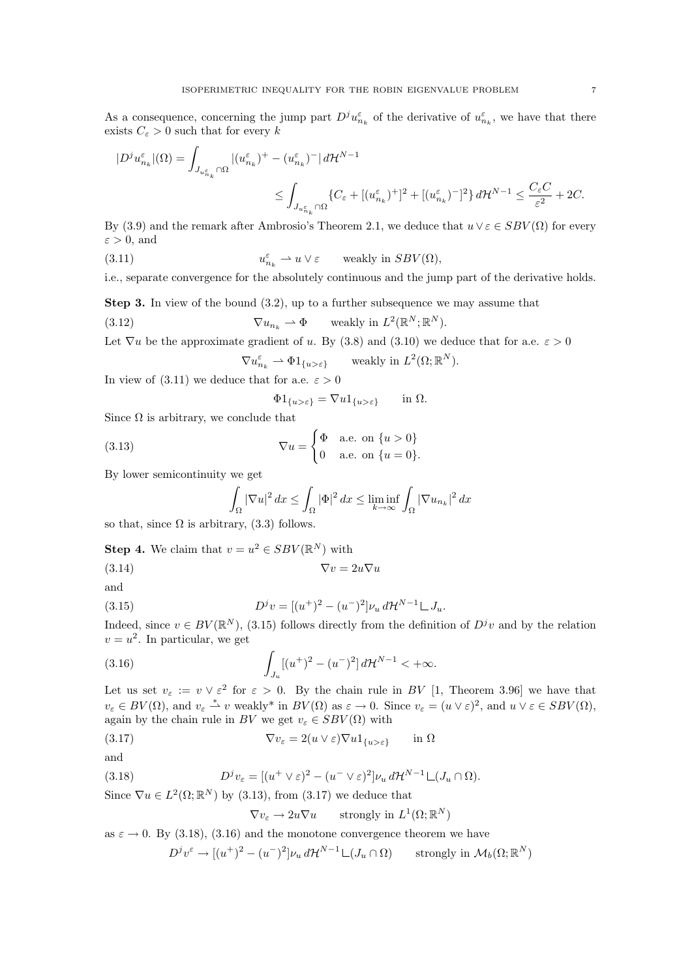As a consequence, concerning the jump part  $D^j u_{n_k}^{\varepsilon}$  of the derivative of  $u_{n_k}^{\varepsilon}$ , we have that there exists  $C_{\varepsilon} > 0$  such that for every k

$$
\begin{aligned} |D^j u_{n_k}^\varepsilon|(\Omega) &= \int_{J_{u_{n_k}^\varepsilon}\cap\Omega} |(u_{n_k}^\varepsilon)^+ - (u_{n_k}^\varepsilon)^-|\, d\mathcal{H}^{N-1} \\ & \leq \int_{J_{u_{n_k}^\varepsilon}\cap\Omega} \{C_\varepsilon + [(u_{n_k}^\varepsilon)^+]^2 + [(u_{n_k}^\varepsilon)^-]^2\} \, d\mathcal{H}^{N-1} \leq \frac{C_\varepsilon C}{\varepsilon^2} + 2C. \end{aligned}
$$

By (3.9) and the remark after Ambrosio's Theorem 2.1, we deduce that  $u \vee \varepsilon \in SBV(\Omega)$  for every  $\varepsilon > 0$ , and

 $(3.11)$  $u_{n_k}^{\varepsilon} \rightharpoonup u \vee \varepsilon$ weakly in  $SBV(\Omega)$ ,

i.e., separate convergence for the absolutely continuous and the jump part of the derivative holds.

Step 3. In view of the bound (3.2), up to a further subsequence we may assume that (3.12)  $\nabla u_{n_k} \rightharpoonup \Phi$  weakly in  $L^2(\mathbb{R}^N;\mathbb{R}^N)$ .

Let  $\nabla u$  be the approximate gradient of u. By (3.8) and (3.10) we deduce that for a.e.  $\varepsilon > 0$ 

$$
\nabla u_{n_k}^{\varepsilon} \rightharpoonup \Phi 1_{\{u>\varepsilon\}} \quad \text{ weakly in } L^2(\Omega; \mathbb{R}^N).
$$

In view of (3.11) we deduce that for a.e.  $\varepsilon > 0$ 

$$
\Phi 1_{\{u>\varepsilon\}} = \nabla u 1_{\{u>\varepsilon\}} \quad \text{in } \Omega.
$$

Since  $\Omega$  is arbitrary, we conclude that

(3.13) 
$$
\nabla u = \begin{cases} \Phi & \text{a.e. on } \{u > 0\} \\ 0 & \text{a.e. on } \{u = 0\}. \end{cases}
$$

By lower semicontinuity we get

$$
\int_{\Omega} |\nabla u|^2 dx \le \int_{\Omega} |\Phi|^2 dx \le \liminf_{k \to \infty} \int_{\Omega} |\nabla u_{n_k}|^2 dx
$$

so that, since  $\Omega$  is arbitrary, (3.3) follows.

**Step 4.** We claim that 
$$
v = u^2 \in SBV(\mathbb{R}^N)
$$
 with

(3.14)  $\nabla v = 2u\nabla u$ 

and

(3.15) 
$$
D^{j}v = [(u^{+})^{2} - (u^{-})^{2}] \nu_{u} d\mathcal{H}^{N-1} \mathcal{L} J_{u}.
$$

Indeed, since  $v \in BV(\mathbb{R}^N)$ , (3.15) follows directly from the definition of  $D^jv$  and by the relation  $v = u^2$ . In particular, we get

(3.16) 
$$
\int_{J_u} [(u^+)^2 - (u^-)^2] d\mathcal{H}^{N-1} < +\infty.
$$

Let us set  $v_{\varepsilon} := v \vee \varepsilon^2$  for  $\varepsilon > 0$ . By the chain rule in BV [1, Theorem 3.96] we have that  $v_{\varepsilon} \in BV(\Omega)$ , and  $v_{\varepsilon} \stackrel{*}{\rightharpoonup} v$  weakly\* in  $BV(\Omega)$  as  $\varepsilon \to 0$ . Since  $v_{\varepsilon} = (u \vee \varepsilon)^2$ , and  $u \vee \varepsilon \in SBV(\Omega)$ , again by the chain rule in BV we get  $v_{\varepsilon} \in SBV(\Omega)$  with

(3.17) 
$$
\nabla v_{\varepsilon} = 2(u \vee \varepsilon) \nabla u \mathbb{1}_{\{u > \varepsilon\}} \quad \text{in } \Omega
$$

and

(3.18) 
$$
D^{j}v_{\varepsilon} = [(u^{+} \vee \varepsilon)^{2} - (u^{-} \vee \varepsilon)^{2}] \nu_{u} d\mathcal{H}^{N-1} \mathcal{L}(J_{u} \cap \Omega).
$$

Since  $\nabla u \in L^2(\Omega;\mathbb{R}^N)$  by (3.13), from (3.17) we deduce that

$$
\nabla v_{\varepsilon} \to 2u\nabla u \qquad \text{strongly in } L^1(\Omega; \mathbb{R}^N)
$$

as  $\varepsilon \to 0$ . By (3.18), (3.16) and the monotone convergence theorem we have

$$
D^{j}v^{\varepsilon} \to [(u^{+})^{2} - (u^{-})^{2}] \nu_{u} d\mathcal{H}^{N-1} \mathcal{L}(J_{u} \cap \Omega) \qquad \text{strongly in } \mathcal{M}_{b}(\Omega; \mathbb{R}^{N})
$$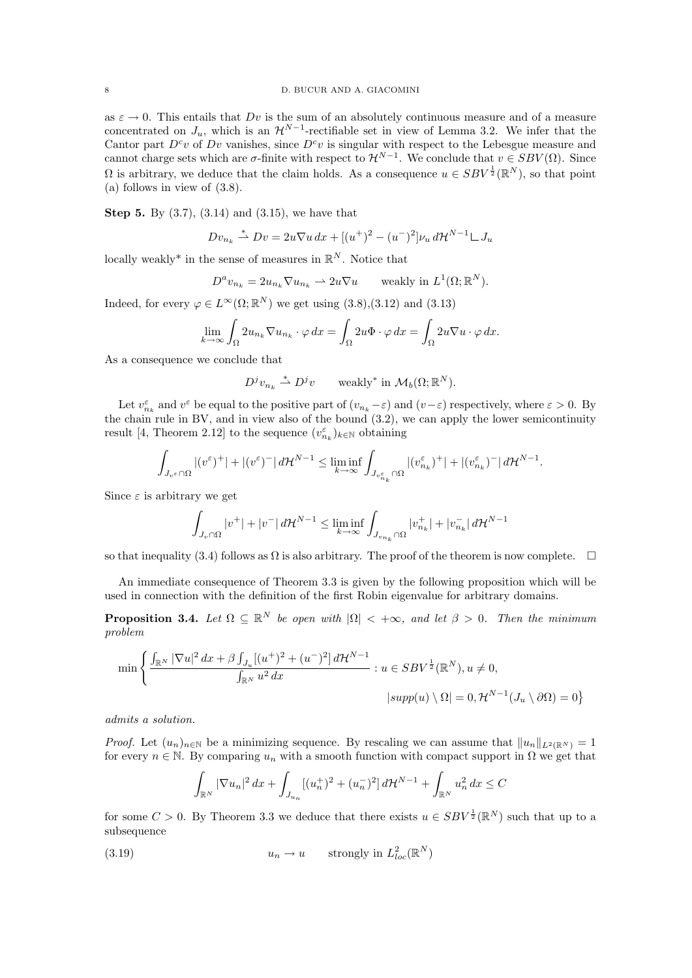as  $\varepsilon \to 0$ . This entails that Dv is the sum of an absolutely continuous measure and of a measure concentrated on  $J_u$ , which is an  $\mathcal{H}^{N-1}$ -rectifiable set in view of Lemma 3.2. We infer that the Cantor part  $D^c v$  of  $Dv$  vanishes, since  $D^c v$  is singular with respect to the Lebesgue measure and cannot charge sets which are  $\sigma$ -finite with respect to  $\mathcal{H}^{N-1}$ . We conclude that  $v \in SBV(\Omega)$ . Since  $\Omega$  is arbitrary, we deduce that the claim holds. As a consequence  $u \in SBV^{\frac{1}{2}}(\mathbb{R}^N)$ , so that point (a) follows in view of (3.8).

Step 5. By (3.7), (3.14) and (3.15), we have that

$$
Dv_{n_k} \stackrel{*}{\rightharpoonup} Dv = 2u\nabla u \, dx + [(u^+)^2 - (u^-)^2]v_u \, d\mathcal{H}^{N-1} \rightharpoonup J_u
$$

locally weakly<sup>\*</sup> in the sense of measures in  $\mathbb{R}^N$ . Notice that

$$
D^a v_{n_k} = 2u_{n_k} \nabla u_{n_k} \rightharpoonup 2u \nabla u \quad \text{ weakly in } L^1(\Omega; \mathbb{R}^N).
$$

Indeed, for every  $\varphi \in L^{\infty}(\Omega; \mathbb{R}^{N})$  we get using  $(3.8), (3.12)$  and  $(3.13)$ 

$$
\lim_{k \to \infty} \int_{\Omega} 2u_{n_k} \nabla u_{n_k} \cdot \varphi \, dx = \int_{\Omega} 2u \Phi \cdot \varphi \, dx = \int_{\Omega} 2u \nabla u \cdot \varphi \, dx.
$$

As a consequence we conclude that

$$
D^j v_{n_k} \stackrel{*}{\rightharpoonup} D^j v \qquad \text{weakly* in } \mathcal{M}_b(\Omega; \mathbb{R}^N).
$$

Let  $v_{n_k}^{\varepsilon}$  and  $v^{\varepsilon}$  be equal to the positive part of  $(v_{n_k}-\varepsilon)$  and  $(v-\varepsilon)$  respectively, where  $\varepsilon > 0$ . By the chain rule in BV, and in view also of the bound  $(3.2)$ , we can apply the lower semicontinuity result [4, Theorem 2.12] to the sequence  $(v_{n_k}^{\varepsilon})_{k\in\mathbb{N}}$  obtaining

$$
\int_{J_{v^\varepsilon}\cap\Omega} |(v^\varepsilon)^+|+|(v^\varepsilon)^-|\,d\mathcal{H}^{N-1}\leq \liminf_{k\to\infty}\int_{J_{v^\varepsilon_{n_k}}\cap\Omega} |(v^\varepsilon_{n_k})^+|+|(v^\varepsilon_{n_k})^-|\,d\mathcal{H}^{N-1}.
$$

Since  $\varepsilon$  is arbitrary we get

$$
\int_{J_v \cap \Omega} |v^+| + |v^-| d\mathcal{H}^{N-1} \le \liminf_{k \to \infty} \int_{J_{v_{n_k}} \cap \Omega} |v_{n_k}^+| + |v_{n_k}^-| d\mathcal{H}^{N-1}
$$

so that inequality (3.4) follows as  $\Omega$  is also arbitrary. The proof of the theorem is now complete.  $\Box$ 

An immediate consequence of Theorem 3.3 is given by the following proposition which will be used in connection with the definition of the first Robin eigenvalue for arbitrary domains.

**Proposition 3.4.** Let  $\Omega \subseteq \mathbb{R}^N$  be open with  $|\Omega| < +\infty$ , and let  $\beta > 0$ . Then the minimum problem

$$
\min \left\{ \frac{\int_{\mathbb{R}^N} |\nabla u|^2 dx + \beta \int_{J_u} [(u^+)^2 + (u^-)^2] d\mathcal{H}^{N-1}}{\int_{\mathbb{R}^N} u^2 dx} : u \in SBV^{\frac{1}{2}}(\mathbb{R}^N), u \neq 0, \right. \\
 \left. \left| \sup p(u) \setminus \Omega \right| = 0, \mathcal{H}^{N-1}(J_u \setminus \partial \Omega) = 0 \right\}
$$

admits a solution.

*Proof.* Let  $(u_n)_{n\in\mathbb{N}}$  be a minimizing sequence. By rescaling we can assume that  $||u_n||_{L^2(\mathbb{R}^N)} = 1$ for every  $n \in \mathbb{N}$ . By comparing  $u_n$  with a smooth function with compact support in  $\Omega$  we get that

$$
\int_{\mathbb{R}^N} |\nabla u_n|^2 \, dx + \int_{J_{u_n}} [(u_n^+)^2 + (u_n^-)^2] \, d\mathcal{H}^{N-1} + \int_{\mathbb{R}^N} u_n^2 \, dx \le C
$$

for some  $C > 0$ . By Theorem 3.3 we deduce that there exists  $u \in SBV^{\frac{1}{2}}(\mathbb{R}^{N})$  such that up to a subsequence

(3.19) 
$$
u_n \to u \quad \text{strongly in } L^2_{loc}(\mathbb{R}^N)
$$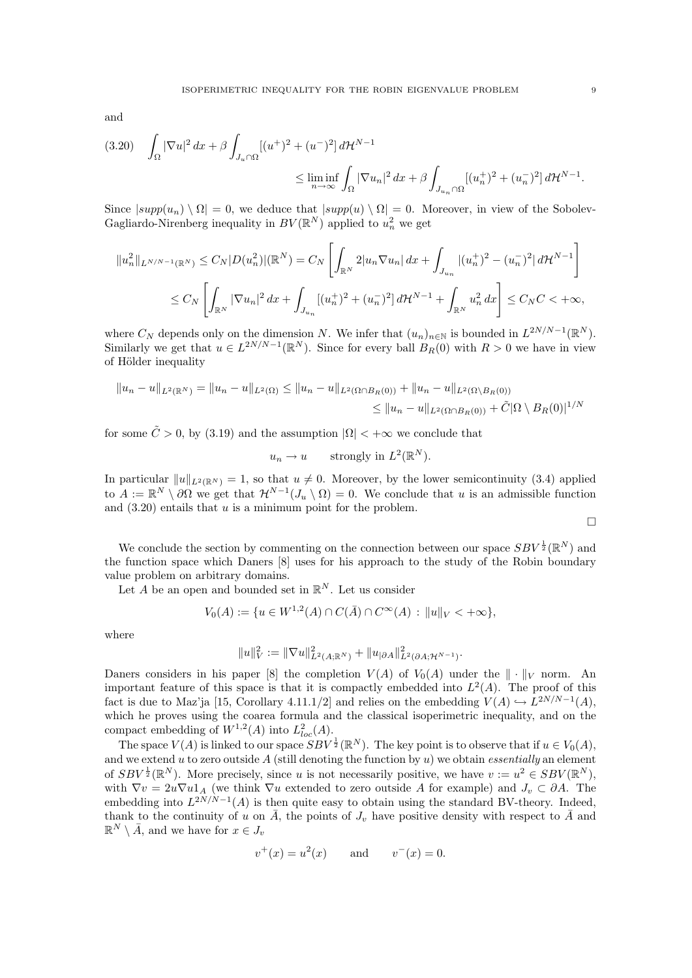and

$$
(3.20) \quad \int_{\Omega} |\nabla u|^2 \, dx + \beta \int_{J_u \cap \Omega} [(u^+)^2 + (u^-)^2] \, d\mathcal{H}^{N-1} \\
\leq \liminf_{n \to \infty} \int_{\Omega} |\nabla u_n|^2 \, dx + \beta \int_{J_{u_n} \cap \Omega} [(u_n^+)^2 + (u_n^-)^2] \, d\mathcal{H}^{N-1}.
$$

Since  $|supp(u_n) \setminus \Omega| = 0$ , we deduce that  $|supp(u) \setminus \Omega| = 0$ . Moreover, in view of the Sobolev-Gagliardo-Nirenberg inequality in  $BV(\mathbb{R}^N)$  applied to  $u_n^2$  we get

$$
||u_n^2||_{L^{N/N-1}(\mathbb{R}^N)} \leq C_N|D(u_n^2)|(\mathbb{R}^N) = C_N\left[\int_{\mathbb{R}^N} 2|u_n \nabla u_n| dx + \int_{J_{u_n}} |(u_n^+)^2 - (u_n^-)^2| d\mathcal{H}^{N-1}\right]
$$
  

$$
\leq C_N\left[\int_{\mathbb{R}^N} |\nabla u_n|^2 dx + \int_{J_{u_n}} [(u_n^+)^2 + (u_n^-)^2] d\mathcal{H}^{N-1} + \int_{\mathbb{R}^N} u_n^2 dx\right] \leq C_NC < +\infty,
$$

where  $C_N$  depends only on the dimension N. We infer that  $(u_n)_{n\in\mathbb{N}}$  is bounded in  $L^{2N/N-1}(\mathbb{R}^N)$ . Similarly we get that  $u \in L^{2N/N-1}(\mathbb{R}^N)$ . Since for every ball  $B_R(0)$  with  $R > 0$  we have in view of Hölder inequality

$$
||u_n - u||_{L^2(\mathbb{R}^N)} = ||u_n - u||_{L^2(\Omega)} \le ||u_n - u||_{L^2(\Omega \cap B_R(0))} + ||u_n - u||_{L^2(\Omega \setminus B_R(0))}
$$
  

$$
\le ||u_n - u||_{L^2(\Omega \cap B_R(0))} + \tilde{C}|\Omega \setminus B_R(0)|^{1/N}
$$

for some  $\tilde{C} > 0$ , by (3.19) and the assumption  $|\Omega| < +\infty$  we conclude that

$$
u_n \to u
$$
 strongly in  $L^2(\mathbb{R}^N)$ .

In particular  $||u||_{L^2(\mathbb{R}^N)} = 1$ , so that  $u \neq 0$ . Moreover, by the lower semicontinuity (3.4) applied to  $A := \mathbb{R}^N \setminus \partial\Omega$  we get that  $\mathcal{H}^{N-1}(J_u \setminus \Omega) = 0$ . We conclude that u is an admissible function and  $(3.20)$  entails that u is a minimum point for the problem.

 $\Box$ 

We conclude the section by commenting on the connection between our space  $SBV^{\frac{1}{2}}(\mathbb{R}^{N})$  and the function space which Daners [8] uses for his approach to the study of the Robin boundary value problem on arbitrary domains.

Let A be an open and bounded set in  $\mathbb{R}^N$ . Let us consider

$$
V_0(A) := \{ u \in W^{1,2}(A) \cap C(\bar{A}) \cap C^{\infty}(A) : ||u||_V < +\infty \},\
$$

where

$$
||u||_V^2 := ||\nabla u||^2_{L^2(A;\mathbb{R}^N)} + ||u_{|\partial A}||^2_{L^2(\partial A;\mathcal{H}^{N-1})}.
$$

Daners considers in his paper [8] the completion  $V(A)$  of  $V_0(A)$  under the  $\|\cdot\|_V$  norm. An important feature of this space is that it is compactly embedded into  $L^2(A)$ . The proof of this fact is due to Maz'ja [15, Corollary 4.11.1/2] and relies on the embedding  $V(A) \hookrightarrow L^{2N/N-1}(A)$ , which he proves using the coarea formula and the classical isoperimetric inequality, and on the compact embedding of  $W^{1,2}(A)$  into  $L^2_{loc}(A)$ .

The space  $V(A)$  is linked to our space  $SBV^{\frac{1}{2}}(\mathbb{R}^N)$ . The key point is to observe that if  $u \in V_0(A)$ , and we extend u to zero outside A (still denoting the function by  $u$ ) we obtain *essentially* an element of  $SBV^{\frac{1}{2}}(\mathbb{R}^{N})$ . More precisely, since u is not necessarily positive, we have  $v := u^{2} \in SBV(\mathbb{R}^{N})$ , with  $\nabla v = 2u\nabla u1_A$  (we think  $\nabla u$  extended to zero outside A for example) and  $J_v \subset \partial A$ . The embedding into  $L^{2N/N-1}(A)$  is then quite easy to obtain using the standard BV-theory. Indeed, thank to the continuity of u on  $\overline{A}$ , the points of  $J_v$  have positive density with respect to  $\overline{A}$  and  $\mathbb{R}^N \setminus \bar{A}$ , and we have for  $x \in J_v$ 

$$
v^+(x) = u^2(x)
$$
 and  $v^-(x) = 0$ .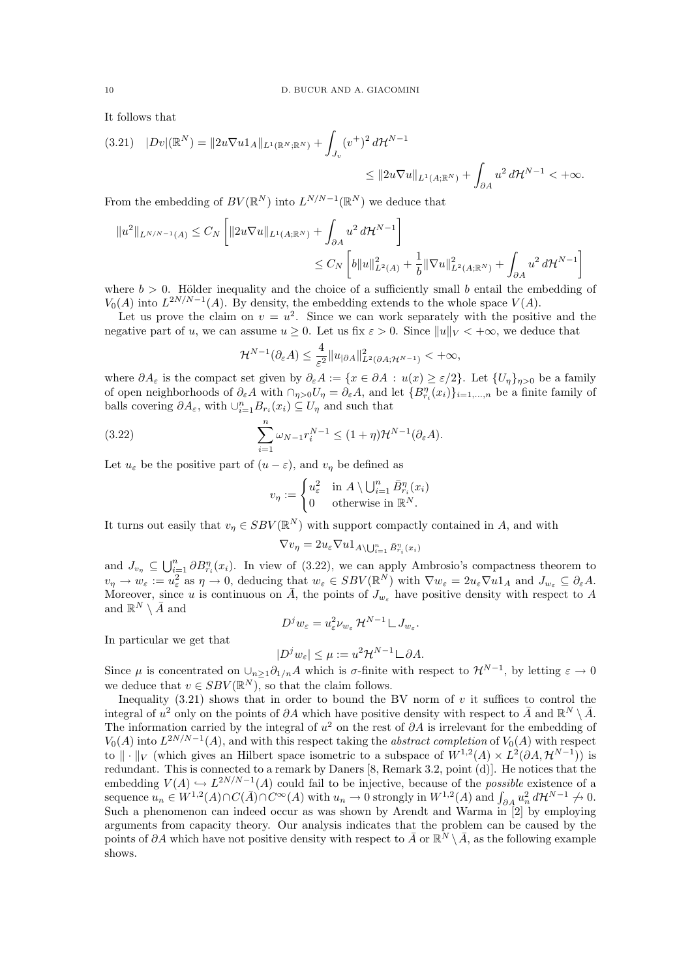It follows that

$$
(3.21) \quad |Dv|(\mathbb{R}^N) = ||2u\nabla u1_A||_{L^1(\mathbb{R}^N;\mathbb{R}^N)} + \int_{J_v} (v^+)^2 d\mathcal{H}^{N-1} \le ||2u\nabla u||_{L^1(A;\mathbb{R}^N)} + \int_{\partial A} u^2 d\mathcal{H}^{N-1} < +\infty.
$$

From the embedding of  $BV(\mathbb{R}^N)$  into  $L^{N/N-1}(\mathbb{R}^N)$  we deduce that

$$
||u^2||_{L^{N/N-1}(A)} \leq C_N \left[ ||2u\nabla u||_{L^1(A;\mathbb{R}^N)} + \int_{\partial A} u^2 d\mathcal{H}^{N-1} \right]
$$
  

$$
\leq C_N \left[ b||u||_{L^2(A)}^2 + \frac{1}{b} ||\nabla u||_{L^2(A;\mathbb{R}^N)}^2 + \int_{\partial A} u^2 d\mathcal{H}^{N-1} \right]
$$

where  $b > 0$ . Hölder inequality and the choice of a sufficiently small b entail the embedding of  $V_0(A)$  into  $L^{2N/N-1}(A)$ . By density, the embedding extends to the whole space  $V(A)$ .

Let us prove the claim on  $v = u^2$ . Since we can work separately with the positive and the negative part of u, we can assume  $u \geq 0$ . Let us fix  $\varepsilon > 0$ . Since  $||u||_V < +\infty$ , we deduce that

$$
\mathcal{H}^{N-1}(\partial_{\varepsilon} A) \leq \frac{4}{\varepsilon^2} \|u_{|\partial A}\|_{L^2(\partial A; \mathcal{H}^{N-1})}^2 < +\infty,
$$

where  $\partial A_{\varepsilon}$  is the compact set given by  $\partial_{\varepsilon}A := \{x \in \partial A : u(x) \geq \varepsilon/2\}$ . Let  $\{U_{\eta}\}_{\eta>0}$  be a family of open neighborhoods of  $\partial_{\varepsilon}A$  with  $\cap_{\eta>0}U_{\eta} = \partial_{\varepsilon}A$ , and let  $\{B_{r_i}^{\eta}(x_i)\}_{i=1,\dots,n}$  be a finite family of balls covering  $\partial A_{\varepsilon}$ , with  $\cup_{i=1}^{n} B_{r_i}(x_i) \subseteq U_{\eta}$  and such that

(3.22) 
$$
\sum_{i=1}^{n} \omega_{N-1} r_i^{N-1} \le (1+\eta) \mathcal{H}^{N-1}(\partial_{\varepsilon} A).
$$

Let  $u_{\varepsilon}$  be the positive part of  $(u - \varepsilon)$ , and  $v_n$  be defined as

$$
v_{\eta} := \begin{cases} u_{\varepsilon}^2 & \text{in } A \setminus \bigcup_{i=1}^n \bar{B}_{r_i}^{\eta}(x_i) \\ 0 & \text{otherwise in } \mathbb{R}^N. \end{cases}
$$

It turns out easily that  $v_{\eta} \in SBV(\mathbb{R}^N)$  with support compactly contained in A, and with

$$
\nabla v_{\eta} = 2 u_{\varepsilon} \nabla u \mathbf{1}_{A \setminus \bigcup_{i=1}^n \bar{B}_{r_i}^{\eta}(x_i)}
$$

and  $J_{v_{\eta}} \subseteq \bigcup_{i=1}^n \partial B_{r_i}^{\eta}(x_i)$ . In view of (3.22), we can apply Ambrosio's compactness theorem to  $v_{\eta} \to w_{\varepsilon} := u_{\varepsilon}^2$  as  $\eta \to 0$ , deducing that  $w_{\varepsilon} \in SBV(\mathbb{R}^N)$  with  $\nabla w_{\varepsilon} = 2u_{\varepsilon} \nabla u \mathbb{1}_A$  and  $J_{w_{\varepsilon}} \subseteq \partial_{\varepsilon} A$ . Moreover, since u is continuous on  $\overline{A}$ , the points of  $J_{w_{\varepsilon}}$  have positive density with respect to A and  $\mathbb{R}^N \setminus \bar{A}$  and

$$
D^j w_{\varepsilon} = u_{\varepsilon}^2 \nu_{w_{\varepsilon}} \mathcal{H}^{N-1} \mathcal{L} J_{w_{\varepsilon}}.
$$

In particular we get that

$$
|D^j w_{\varepsilon}| \le \mu := u^2 \mathcal{H}^{N-1} \mathcal{L} \partial A.
$$

Since  $\mu$  is concentrated on  $\cup_{n\geq 1}\partial_{1/n}A$  which is  $\sigma$ -finite with respect to  $\mathcal{H}^{N-1}$ , by letting  $\varepsilon \to 0$ we deduce that  $v \in SBV(\mathbb{R}^N)$ , so that the claim follows.

Inequality  $(3.21)$  shows that in order to bound the BV norm of v it suffices to control the integral of  $u^2$  only on the points of  $\partial A$  which have positive density with respect to  $\bar{A}$  and  $\mathbb{R}^N \setminus \bar{A}$ . The information carried by the integral of  $u^2$  on the rest of  $\partial A$  is irrelevant for the embedding of  $V_0(A)$  into  $L^{2N/N-1}(A)$ , and with this respect taking the *abstract completion* of  $V_0(A)$  with respect to  $\|\cdot\|_V$  (which gives an Hilbert space isometric to a subspace of  $W^{1,2}(A) \times L^2(\partial A, \mathcal{H}^{N-1})$ ) is redundant. This is connected to a remark by Daners [8, Remark 3.2, point (d)]. He notices that the embedding  $V(A) \hookrightarrow L^{2N/N-1}(A)$  could fail to be injective, because of the *possible* existence of a sequence  $u_n \in W^{1,2}(A) \cap C(\overline{A}) \cap C^{\infty}(A)$  with  $u_n \to 0$  strongly in  $W^{1,2}(A)$  and  $\int_{\partial A} u_n^2 d\mathcal{H}^{N-1} \to 0$ . Such a phenomenon can indeed occur as was shown by Arendt and Warma in [2] by employing arguments from capacity theory. Our analysis indicates that the problem can be caused by the points of ∂A which have not positive density with respect to  $\bar{A}$  or  $\mathbb{R}^N \setminus \bar{A}$ , as the following example shows.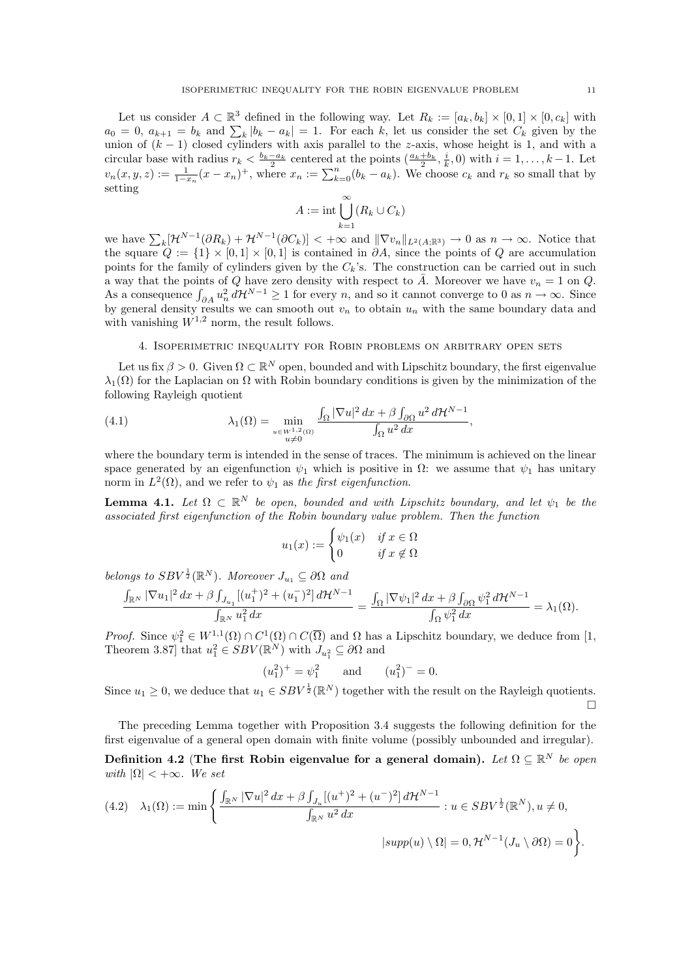Let us consider  $A \subset \mathbb{R}^3$  defined in the following way. Let  $R_k := [a_k, b_k] \times [0, 1] \times [0, c_k]$  with  $a_0 = 0$ ,  $a_{k+1} = b_k$  and  $\sum_k |b_k - a_k| = 1$ . For each k, let us consider the set  $C_k$  given by the union of  $(k-1)$  closed cylinders with axis parallel to the z-axis, whose height is 1, and with a circular base with radius  $r_k < \frac{b_k-a_k}{2}$  centered at the points  $(\frac{a_k+b_k}{2}, \frac{i}{k}, 0)$  with  $i = 1, \ldots, k-1$ . Let  $v_n(x, y, z) := \frac{1}{1-x_n}(x-x_n)^+$ , where  $x_n := \sum_{k=0}^n (b_k - a_k)$ . We choose  $c_k$  and  $r_k$  so small that by setting

$$
A := \operatorname{int} \bigcup_{k=1}^{\infty} (R_k \cup C_k)
$$

we have  $\sum_k [\mathcal{H}^{N-1}(\partial R_k) + \mathcal{H}^{N-1}(\partial C_k)] < +\infty$  and  $\|\nabla v_n\|_{L^2(A;\mathbb{R}^3)} \to 0$  as  $n \to \infty$ . Notice that the square  $Q := \{1\} \times [0,1] \times [0,1]$  is contained in  $\partial A$ , since the points of  $Q$  are accumulation points for the family of cylinders given by the  $C_k$ 's. The construction can be carried out in such a way that the points of Q have zero density with respect to  $\overline{A}$ . Moreover we have  $v_n = 1$  on Q. As a consequence  $\int_{\partial A} u_n^2 d\mathcal{H}^{N-1} \geq 1$  for every n, and so it cannot converge to 0 as  $n \to \infty$ . Since by general density results we can smooth out  $v_n$  to obtain  $u_n$  with the same boundary data and with vanishing  $W^{1,2}$  norm, the result follows.

#### 4. Isoperimetric inequality for Robin problems on arbitrary open sets

Let us fix  $\beta > 0$ . Given  $\Omega \subset \mathbb{R}^N$  open, bounded and with Lipschitz boundary, the first eigenvalue  $\lambda_1(\Omega)$  for the Laplacian on  $\Omega$  with Robin boundary conditions is given by the minimization of the following Rayleigh quotient

(4.1) 
$$
\lambda_1(\Omega) = \min_{\substack{u \in W^{1,2}(\Omega) \\ u \neq 0}} \frac{\int_{\Omega} |\nabla u|^2 dx + \beta \int_{\partial \Omega} u^2 d\mathcal{H}^{N-1}}{\int_{\Omega} u^2 dx},
$$

where the boundary term is intended in the sense of traces. The minimum is achieved on the linear space generated by an eigenfunction  $\psi_1$  which is positive in  $\Omega$ : we assume that  $\psi_1$  has unitary norm in  $L^2(\Omega)$ , and we refer to  $\psi_1$  as the first eigenfunction.

**Lemma 4.1.** Let  $\Omega \subset \mathbb{R}^N$  be open, bounded and with Lipschitz boundary, and let  $\psi_1$  be the associated first eigenfunction of the Robin boundary value problem. Then the function

$$
u_1(x) := \begin{cases} \psi_1(x) & \text{if } x \in \Omega \\ 0 & \text{if } x \notin \Omega \end{cases}
$$

belongs to  $SBV^{\frac{1}{2}}(\mathbb{R}^{N})$ . Moreover  $J_{u_1} \subseteq \partial\Omega$  and

$$
\frac{\int_{\mathbb{R}^N}|\nabla u_1|^2\,dx+\beta\int_{J_{u_1}}[(u_1^+)^2+(u_1^-)^2]\,d\mathcal{H}^{N-1}}{\int_{\mathbb{R}^N}u_1^2\,dx}=\frac{\int_{\Omega}|\nabla\psi_1|^2\,dx+\beta\int_{\partial\Omega}\psi_1^2\,d\mathcal{H}^{N-1}}{\int_{\Omega}\psi_1^2\,dx}=\lambda_1(\Omega).
$$

Proof. Since  $\psi_1^2 \in W^{1,1}(\Omega) \cap C^1(\overline{\Omega})$  and  $\Omega$  has a Lipschitz boundary, we deduce from [1, Theorem 3.87] that  $u_1^2 \in SBV(\mathbb{R}^N)$  with  $J_{u_1^2} \subseteq \partial\Omega$  and

$$
(u_1^2)^+ = \psi_1^2
$$
 and  $(u_1^2)^- = 0$ .

Since  $u_1 \geq 0$ , we deduce that  $u_1 \in SBV^{\frac{1}{2}}(\mathbb{R}^N)$  together with the result on the Rayleigh quotients.  $\Box$ 

The preceding Lemma together with Proposition 3.4 suggests the following definition for the first eigenvalue of a general open domain with finite volume (possibly unbounded and irregular).

Definition 4.2 (The first Robin eigenvalue for a general domain). Let  $\Omega \subseteq \mathbb{R}^N$  be open with  $|\Omega|$  < + $\infty$ . We set

$$
(4.2) \quad \lambda_1(\Omega) := \min\left\{ \frac{\int_{\mathbb{R}^N} |\nabla u|^2 dx + \beta \int_{J_u} [(u^+)^2 + (u^-)^2] d\mathcal{H}^{N-1}}{\int_{\mathbb{R}^N} u^2 dx} : u \in SBV^{\frac{1}{2}}(\mathbb{R}^N), u \neq 0, \right\}
$$

$$
|supp(u) \setminus \Omega| = 0, \mathcal{H}^{N-1}(J_u \setminus \partial \Omega) = 0 \right\}.
$$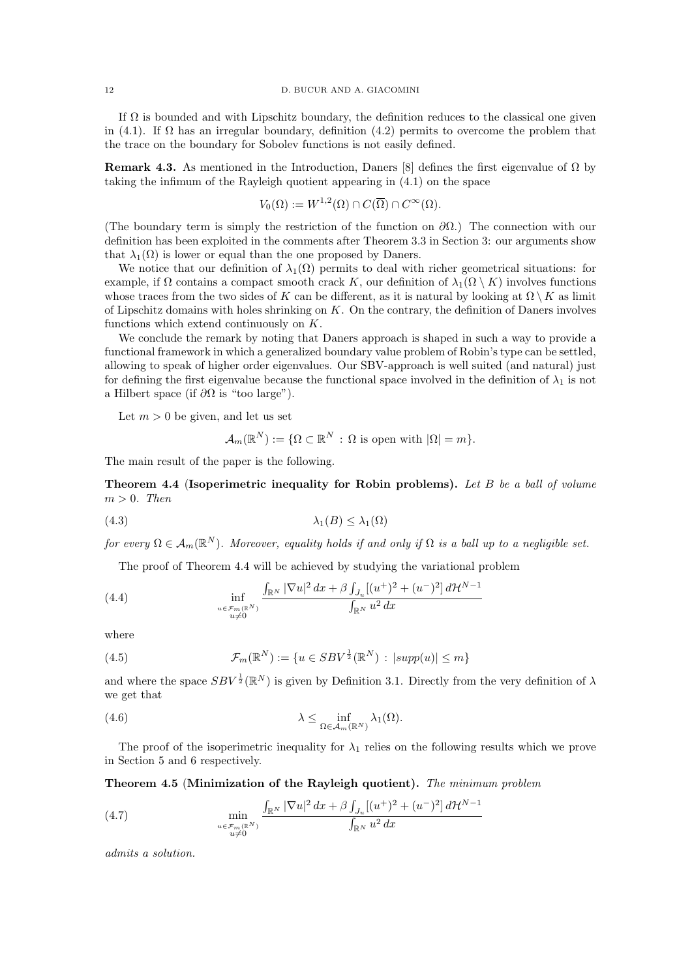If  $\Omega$  is bounded and with Lipschitz boundary, the definition reduces to the classical one given in (4.1). If  $\Omega$  has an irregular boundary, definition (4.2) permits to overcome the problem that the trace on the boundary for Sobolev functions is not easily defined.

**Remark 4.3.** As mentioned in the Introduction, Daners [8] defines the first eigenvalue of  $\Omega$  by taking the infimum of the Rayleigh quotient appearing in (4.1) on the space

$$
V_0(\Omega) := W^{1,2}(\Omega) \cap C(\overline{\Omega}) \cap C^{\infty}(\Omega).
$$

(The boundary term is simply the restriction of the function on  $\partial\Omega$ .) The connection with our definition has been exploited in the comments after Theorem 3.3 in Section 3: our arguments show that  $\lambda_1(\Omega)$  is lower or equal than the one proposed by Daners.

We notice that our definition of  $\lambda_1(\Omega)$  permits to deal with richer geometrical situations: for example, if  $\Omega$  contains a compact smooth crack K, our definition of  $\lambda_1(\Omega \setminus K)$  involves functions whose traces from the two sides of K can be different, as it is natural by looking at  $\Omega \setminus K$  as limit of Lipschitz domains with holes shrinking on K. On the contrary, the definition of Daners involves functions which extend continuously on K.

We conclude the remark by noting that Daners approach is shaped in such a way to provide a functional framework in which a generalized boundary value problem of Robin's type can be settled, allowing to speak of higher order eigenvalues. Our SBV-approach is well suited (and natural) just for defining the first eigenvalue because the functional space involved in the definition of  $\lambda_1$  is not a Hilbert space (if  $\partial\Omega$  is "too large").

Let  $m > 0$  be given, and let us set

$$
\mathcal{A}_m(\mathbb{R}^N) := \{ \Omega \subset \mathbb{R}^N \, : \, \Omega \text{ is open with } |\Omega| = m \}.
$$

The main result of the paper is the following.

Theorem 4.4 (Isoperimetric inequality for Robin problems). Let B be a ball of volume  $m > 0$ . Then

$$
\lambda_1(B) \le \lambda_1(\Omega)
$$

for every  $\Omega \in \mathcal{A}_m(\mathbb{R}^N)$ . Moreover, equality holds if and only if  $\Omega$  is a ball up to a negligible set.

The proof of Theorem 4.4 will be achieved by studying the variational problem

(4.4) 
$$
\inf_{\substack{u \in \mathcal{F}_m(\mathbb{R}^N) \\ u \neq 0}} \frac{\int_{\mathbb{R}^N} |\nabla u|^2 dx + \beta \int_{J_u} [(u^+)^2 + (u^-)^2] d\mathcal{H}^{N-1}}{\int_{\mathbb{R}^N} u^2 dx}
$$

where

(4.5) 
$$
\mathcal{F}_m(\mathbb{R}^N) := \{ u \in SBV^{\frac{1}{2}}(\mathbb{R}^N) : |supp(u)| \leq m \}
$$

and where the space  $SBV^{\frac{1}{2}}(\mathbb{R}^{N})$  is given by Definition 3.1. Directly from the very definition of  $\lambda$ we get that

(4.6) 
$$
\lambda \leq \inf_{\Omega \in \mathcal{A}_m(\mathbb{R}^N)} \lambda_1(\Omega).
$$

The proof of the isoperimetric inequality for  $\lambda_1$  relies on the following results which we prove in Section 5 and 6 respectively.

Theorem 4.5 (Minimization of the Rayleigh quotient). The minimum problem

(4.7) 
$$
\min_{\substack{u \in \mathcal{F}_m(\mathbb{R}^N) \\ u \neq 0}} \frac{\int_{\mathbb{R}^N} |\nabla u|^2 dx + \beta \int_{J_u} [(u^+)^2 + (u^-)^2] d\mathcal{H}^{N-1}}{\int_{\mathbb{R}^N} u^2 dx}
$$

admits a solution.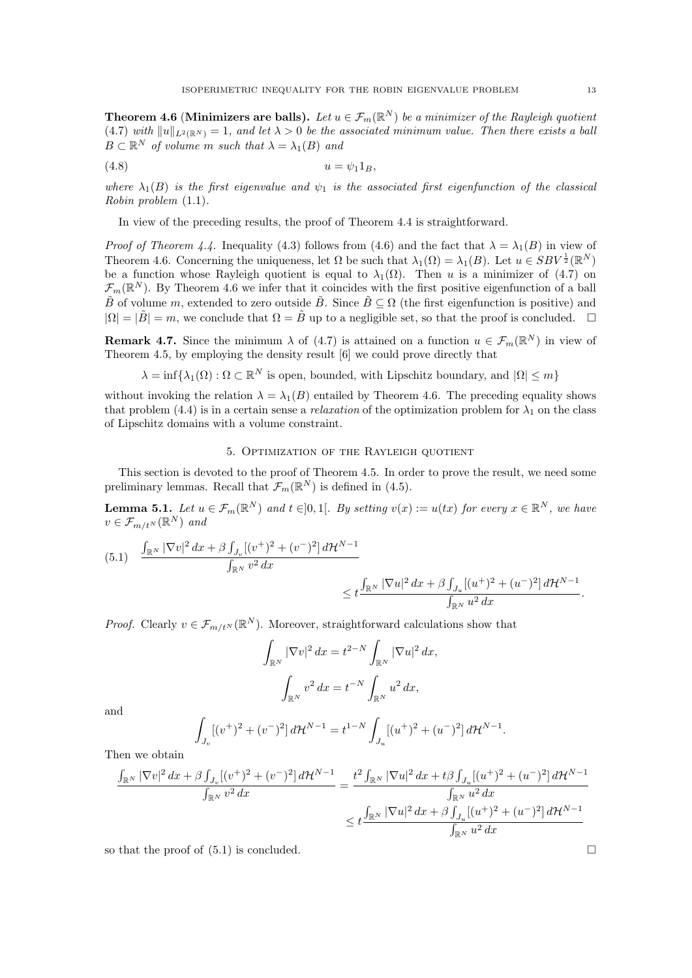**Theorem 4.6 (Minimizers are balls).** Let  $u \in \mathcal{F}_m(\mathbb{R}^N)$  be a minimizer of the Rayleigh quotient (4.7) with  $||u||_{L^2(\mathbb{R}^N)} = 1$ , and let  $\lambda > 0$  be the associated minimum value. Then there exists a ball  $B \subset \mathbb{R}^N$  of volume m such that  $\lambda = \lambda_1(B)$  and

$$
(4.8) \t\t u = \psi_1 1_B,
$$

where  $\lambda_1(B)$  is the first eigenvalue and  $\psi_1$  is the associated first eigenfunction of the classical Robin problem (1.1).

In view of the preceding results, the proof of Theorem 4.4 is straightforward.

*Proof of Theorem 4.4.* Inequality (4.3) follows from (4.6) and the fact that  $\lambda = \lambda_1(B)$  in view of Theorem 4.6. Concerning the uniqueness, let  $\Omega$  be such that  $\lambda_1(\Omega) = \lambda_1(B)$ . Let  $u \in SBV^{\frac{1}{2}}(\mathbb{R}^N)$ be a function whose Rayleigh quotient is equal to  $\lambda_1(\Omega)$ . Then u is a minimizer of (4.7) on  $\mathcal{F}_m(\mathbb{R}^N)$ . By Theorem 4.6 we infer that it coincides with the first positive eigenfunction of a ball  $\tilde{B}$  of volume m, extended to zero outside  $\tilde{B}$ . Since  $\tilde{B} \subset \Omega$  (the first eigenfunction is positive) and  $|\Omega| = |\tilde{B}| = m$ , we conclude that  $\Omega = \tilde{B}$  up to a negligible set, so that the proof is concluded.  $\square$ 

**Remark 4.7.** Since the minimum  $\lambda$  of (4.7) is attained on a function  $u \in \mathcal{F}_m(\mathbb{R}^N)$  in view of Theorem 4.5, by employing the density result [6] we could prove directly that

 $\lambda = \inf \{ \lambda_1(\Omega) : \Omega \subset \mathbb{R}^N \text{ is open, bounded, with Lipschitz boundary, and } |\Omega| \leq m \}$ 

without invoking the relation  $\lambda = \lambda_1(B)$  entailed by Theorem 4.6. The preceding equality shows that problem (4.4) is in a certain sense a *relaxation* of the optimization problem for  $\lambda_1$  on the class of Lipschitz domains with a volume constraint.

### 5. Optimization of the Rayleigh quotient

This section is devoted to the proof of Theorem 4.5. In order to prove the result, we need some preliminary lemmas. Recall that  $\mathcal{F}_m(\mathbb{R}^N)$  is defined in (4.5).

**Lemma 5.1.** Let  $u \in \mathcal{F}_m(\mathbb{R}^N)$  and  $t \in ]0,1[$ . By setting  $v(x) := u(tx)$  for every  $x \in \mathbb{R}^N$ , we have  $v \in \mathcal{F}_{m/t^N}(\mathbb{R}^N)$  and

$$
(5.1) \quad \frac{\int_{\mathbb{R}^N} |\nabla v|^2 dx + \beta \int_{J_v} [(v^+)^2 + (v^-)^2] d\mathcal{H}^{N-1}}{\int_{\mathbb{R}^N} v^2 dx} \leq t \frac{\int_{\mathbb{R}^N} |\nabla u|^2 dx + \beta \int_{J_u} [(u^+)^2 + (u^-)^2] d\mathcal{H}^{N-1}}{\int_{\mathbb{R}^N} u^2 dx}.
$$

*Proof.* Clearly  $v \in \mathcal{F}_{m/t^N}(\mathbb{R}^N)$ . Moreover, straightforward calculations show that

$$
\int_{\mathbb{R}^N} |\nabla v|^2 dx = t^{2-N} \int_{\mathbb{R}^N} |\nabla u|^2 dx,
$$

$$
\int_{\mathbb{R}^N} v^2 dx = t^{-N} \int_{\mathbb{R}^N} u^2 dx,
$$

and

$$
\int_{J_v} [(v^+)^2 + (v^-)^2] d\mathcal{H}^{N-1} = t^{1-N} \int_{J_u} [(u^+)^2 + (u^-)^2] d\mathcal{H}^{N-1}.
$$

Then we obtain

$$
\frac{\int_{\mathbb{R}^N} |\nabla v|^2 dx + \beta \int_{J_v} [(v^+)^2 + (v^-)^2] d\mathcal{H}^{N-1}}{\int_{\mathbb{R}^N} v^2 dx} = \frac{t^2 \int_{\mathbb{R}^N} |\nabla u|^2 dx + t \beta \int_{J_u} [(u^+)^2 + (u^-)^2] d\mathcal{H}^{N-1}}{\int_{\mathbb{R}^N} u^2 dx}
$$

$$
\leq t \frac{\int_{\mathbb{R}^N} |\nabla u|^2 dx + \beta \int_{J_u} [(u^+)^2 + (u^-)^2] d\mathcal{H}^{N-1}}{\int_{\mathbb{R}^N} u^2 dx}
$$

so that the proof of  $(5.1)$  is concluded.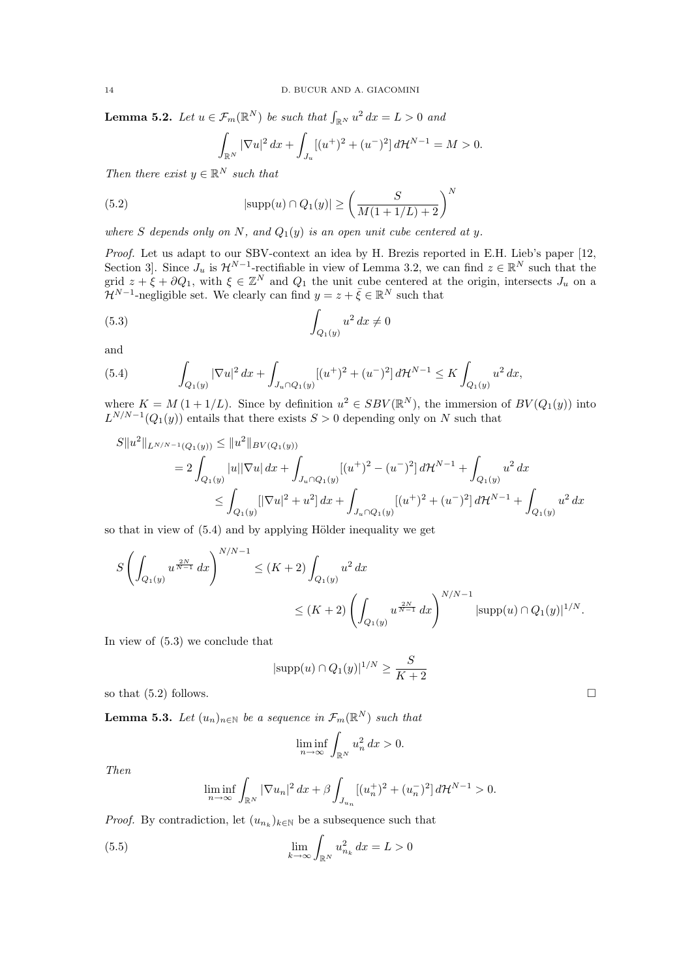**Lemma 5.2.** Let  $u \in \mathcal{F}_m(\mathbb{R}^N)$  be such that  $\int_{\mathbb{R}^N} u^2 dx = L > 0$  and

$$
\int_{\mathbb{R}^N} |\nabla u|^2 \, dx + \int_{J_u} [(u^+)^2 + (u^-)^2] \, d\mathcal{H}^{N-1} = M > 0.
$$

Then there exist  $y \in \mathbb{R}^N$  such that

(5.2) 
$$
|\text{supp}(u) \cap Q_1(y)| \ge \left(\frac{S}{M(1+1/L)+2}\right)^N
$$

where S depends only on N, and  $Q_1(y)$  is an open unit cube centered at y.

Proof. Let us adapt to our SBV-context an idea by H. Brezis reported in E.H. Lieb's paper [12, Section 3. Since  $J_u$  is  $\mathcal{H}^{N-1}$ -rectifiable in view of Lemma 3.2, we can find  $z \in \mathbb{R}^N$  such that the grid  $z + \xi + \partial Q_1$ , with  $\xi \in \mathbb{Z}^N$  and  $Q_1$  the unit cube centered at the origin, intersects  $J_u$  on a  $\mathcal{H}^{N-1}$ -negligible set. We clearly can find  $y = z + \bar{\xi} \in \mathbb{R}^N$  such that

$$
(5.3)\qquad \qquad \int_{Q_1(y)} u^2 dx \neq 0
$$

and

(5.4) 
$$
\int_{Q_1(y)} |\nabla u|^2 dx + \int_{J_u \cap Q_1(y)} [(u^+)^2 + (u^-)^2] d\mathcal{H}^{N-1} \leq K \int_{Q_1(y)} u^2 dx,
$$

where  $K = M(1 + 1/L)$ . Since by definition  $u^2 \in SBV(\mathbb{R}^N)$ , the immersion of  $BV(Q_1(y))$  into  $L^{N/N-1}(Q_1(y))$  entails that there exists  $S > 0$  depending only on N such that

$$
S||u^{2}||_{L^{N/N-1}(Q_{1}(y))} \leq ||u^{2}||_{BV(Q_{1}(y))}
$$
  
=  $2 \int_{Q_{1}(y)} |u||\nabla u| dx + \int_{J_{u} \cap Q_{1}(y)} [(u^{+})^{2} - (u^{-})^{2}] d\mathcal{H}^{N-1} + \int_{Q_{1}(y)} u^{2} dx$   
 $\leq \int_{Q_{1}(y)} [|\nabla u|^{2} + u^{2}] dx + \int_{J_{u} \cap Q_{1}(y)} [(u^{+})^{2} + (u^{-})^{2}] d\mathcal{H}^{N-1} + \int_{Q_{1}(y)} u^{2} dx$ 

so that in view of  $(5.4)$  and by applying Hölder inequality we get

$$
\begin{array}{l} \displaystyle S\left(\int_{Q_1(y)}u^{\frac{2N}{N-1}}\,dx\right)^{N/N-1}\le (K+2)\int_{Q_1(y)}u^2\,dx\\ \\ \displaystyle\le (K+2)\left(\int_{Q_1(y)}u^{\frac{2N}{N-1}}\,dx\right)^{N/N-1}|\mathrm{supp}(u)\cap Q_1(y)|^{1/N}.\end{array}
$$

In view of (5.3) we conclude that

$$
|\text{supp}(u) \cap Q_1(y)|^{1/N} \ge \frac{S}{K+2}
$$

so that  $(5.2)$  follows.

**Lemma 5.3.** Let  $(u_n)_{n \in \mathbb{N}}$  be a sequence in  $\mathcal{F}_m(\mathbb{R}^N)$  such that

$$
\liminf_{n \to \infty} \int_{\mathbb{R}^N} u_n^2 dx > 0.
$$

Then

$$
\liminf_{n \to \infty} \int_{\mathbb{R}^N} |\nabla u_n|^2 \, dx + \beta \int_{J_{u_n}} [(u_n^+)^2 + (u_n^-)^2] \, d\mathcal{H}^{N-1} > 0.
$$

*Proof.* By contradiction, let  $(u_{n_k})_{k \in \mathbb{N}}$  be a subsequence such that

(5.5) 
$$
\lim_{k \to \infty} \int_{\mathbb{R}^N} u_{n_k}^2 dx = L > 0
$$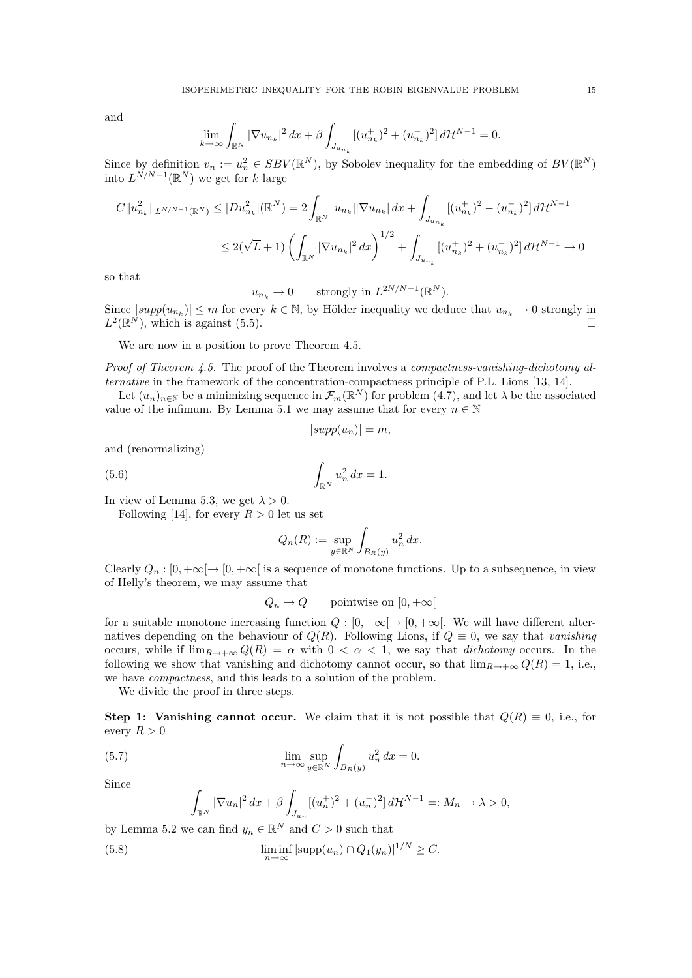and

$$
\lim_{k \to \infty} \int_{\mathbb{R}^N} |\nabla u_{n_k}|^2 \, dx + \beta \int_{J_{u_{n_k}}} [(u_{n_k}^+)^2 + (u_{n_k}^-)^2] \, d\mathcal{H}^{N-1} = 0.
$$

Since by definition  $v_n := u_n^2 \in SBV(\mathbb{R}^N)$ , by Sobolev inequality for the embedding of  $BV(\mathbb{R}^N)$ into  $L^{N/N-1}(\mathbb{R}^N)$  we get for k large

$$
C||u_{n_k}^2||_{L^{N/N-1}(\mathbb{R}^N)} \le |Du_{n_k}^2|(\mathbb{R}^N) = 2 \int_{\mathbb{R}^N} |u_{n_k}||\nabla u_{n_k}| dx + \int_{J_{u_{n_k}}} [(u_{n_k}^+)^2 - (u_{n_k}^-)^2] d\mathcal{H}^{N-1}
$$
  

$$
\le 2(\sqrt{L}+1) \left(\int_{\mathbb{R}^N} |\nabla u_{n_k}|^2 dx\right)^{1/2} + \int_{J_{u_{n_k}}} [(u_{n_k}^+)^2 + (u_{n_k}^-)^2] d\mathcal{H}^{N-1} \to 0
$$

so that

$$
u_{n_k} \to 0
$$
 strongly in  $L^{2N/N-1}(\mathbb{R}^N)$ .

Since  $|supp(u_{n_k})| \leq m$  for every  $k \in \mathbb{N}$ , by Hölder inequality we deduce that  $u_{n_k} \to 0$  strongly in  $L^2(\mathbb{R}^N)$ , which is against (5.5).

We are now in a position to prove Theorem 4.5.

Proof of Theorem 4.5. The proof of the Theorem involves a compactness-vanishing-dichotomy alternative in the framework of the concentration-compactness principle of P.L. Lions [13, 14].

Let  $(u_n)_{n\in\mathbb{N}}$  be a minimizing sequence in  $\mathcal{F}_m(\mathbb{R}^N)$  for problem  $(4.7)$ , and let  $\lambda$  be the associated value of the infimum. By Lemma 5.1 we may assume that for every  $n \in \mathbb{N}$ 

$$
|supp(u_n)| = m,
$$

and (renormalizing)

(5.6) 
$$
\int_{\mathbb{R}^N} u_n^2 dx = 1.
$$

In view of Lemma 5.3, we get  $\lambda > 0$ .

Following [14], for every  $R > 0$  let us set

$$
Q_n(R) := \sup_{y \in \mathbb{R}^N} \int_{B_R(y)} u_n^2 dx.
$$

Clearly  $Q_n : [0, +\infty[ \to [0, +\infty[$  is a sequence of monotone functions. Up to a subsequence, in view of Helly's theorem, we may assume that

$$
Q_n \to Q
$$
 pointwise on  $[0, +\infty[$ 

for a suitable monotone increasing function  $Q : [0, +\infty[ \rightarrow [0, +\infty[$ . We will have different alternatives depending on the behaviour of  $Q(R)$ . Following Lions, if  $Q \equiv 0$ , we say that vanishing occurs, while if  $\lim_{R\to+\infty} Q(R) = \alpha$  with  $0 < \alpha < 1$ , we say that *dichotomy* occurs. In the following we show that vanishing and dichotomy cannot occur, so that  $\lim_{R\to+\infty} Q(R) = 1$ , i.e., we have compactness, and this leads to a solution of the problem.

We divide the proof in three steps.

Step 1: Vanishing cannot occur. We claim that it is not possible that  $Q(R) \equiv 0$ , i.e., for every  $R > 0$ 

(5.7) 
$$
\lim_{n \to \infty} \sup_{y \in \mathbb{R}^N} \int_{B_R(y)} u_n^2 dx = 0.
$$

Since

$$
\int_{\mathbb{R}^N} |\nabla u_n|^2 \, dx + \beta \int_{J_{u_n}} [(u_n^+)^2 + (u_n^-)^2] \, d\mathcal{H}^{N-1} =: M_n \to \lambda > 0,
$$

by Lemma 5.2 we can find  $y_n \in \mathbb{R}^N$  and  $C > 0$  such that

(5.8) 
$$
\liminf_{n \to \infty} |\text{supp}(u_n) \cap Q_1(y_n)|^{1/N} \geq C.
$$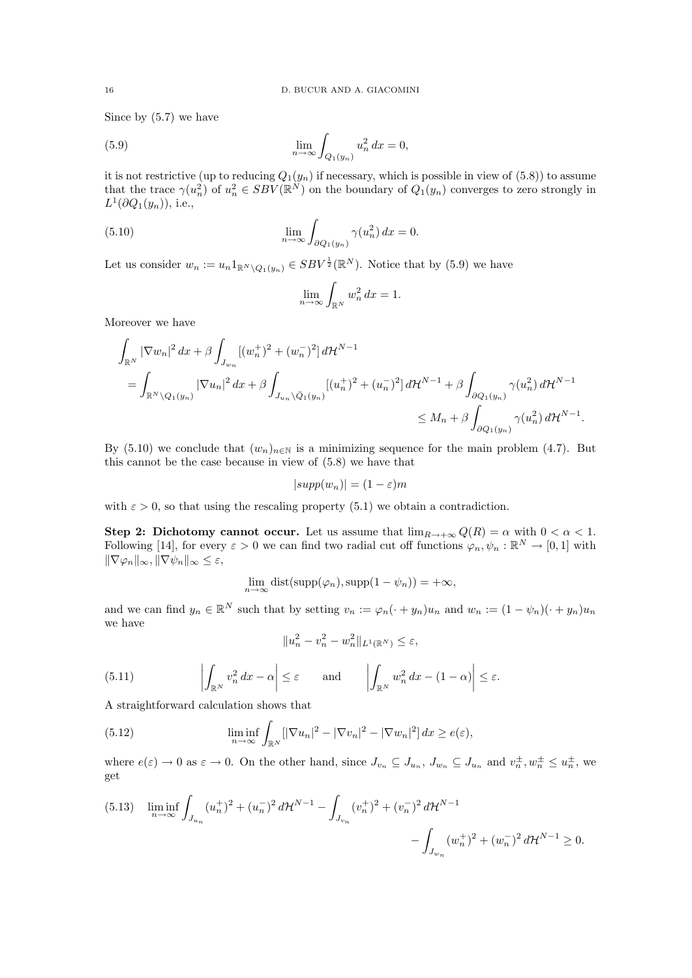Since by (5.7) we have

(5.9) 
$$
\lim_{n \to \infty} \int_{Q_1(y_n)} u_n^2 dx = 0,
$$

it is not restrictive (up to reducing  $Q_1(y_n)$  if necessary, which is possible in view of  $(5.8)$ ) to assume that the trace  $\gamma(u_n^2)$  of  $u_n^2 \in SBV(\mathbb{R}^N)$  on the boundary of  $Q_1(y_n)$  converges to zero strongly in  $L^1(\partial Q_1(y_n))$ , i.e.,

(5.10) 
$$
\lim_{n \to \infty} \int_{\partial Q_1(y_n)} \gamma(u_n^2) dx = 0.
$$

Let us consider  $w_n := u_n 1_{\mathbb{R}^N \setminus Q_1(y_n)} \in SBV^{\frac{1}{2}}(\mathbb{R}^N)$ . Notice that by (5.9) we have

$$
\lim_{n \to \infty} \int_{\mathbb{R}^N} w_n^2 \, dx = 1.
$$

Moreover we have

$$
\int_{\mathbb{R}^N} |\nabla w_n|^2 dx + \beta \int_{J_{w_n}} [(w_n^+)^2 + (w_n^-)^2] d\mathcal{H}^{N-1}
$$
\n
$$
= \int_{\mathbb{R}^N \setminus Q_1(y_n)} |\nabla u_n|^2 dx + \beta \int_{J_{u_n} \setminus \bar{Q}_1(y_n)} [(u_n^+)^2 + (u_n^-)^2] d\mathcal{H}^{N-1} + \beta \int_{\partial Q_1(y_n)} \gamma(u_n^2) d\mathcal{H}^{N-1}
$$
\n
$$
\leq M_n + \beta \int_{\partial Q_1(y_n)} \gamma(u_n^2) d\mathcal{H}^{N-1}.
$$

By (5.10) we conclude that  $(w_n)_{n\in\mathbb{N}}$  is a minimizing sequence for the main problem (4.7). But this cannot be the case because in view of (5.8) we have that

$$
|supp(w_n)| = (1 - \varepsilon)m
$$

with  $\varepsilon > 0$ , so that using the rescaling property (5.1) we obtain a contradiction.

Step 2: Dichotomy cannot occur. Let us assume that  $\lim_{R\to+\infty} Q(R) = \alpha$  with  $0 < \alpha < 1$ . Following [14], for every  $\varepsilon > 0$  we can find two radial cut off functions  $\varphi_n, \psi_n : \mathbb{R}^N \to [0, 1]$  with  $\|\nabla\varphi_n\|_{\infty}, \|\nabla\psi_n\|_{\infty}\leq\varepsilon,$ 

$$
\lim_{n \to \infty} \text{dist}(\text{supp}(\varphi_n), \text{supp}(1 - \psi_n)) = +\infty,
$$

and we can find  $y_n \in \mathbb{R}^N$  such that by setting  $v_n := \varphi_n(\cdot + y_n)u_n$  and  $w_n := (1 - \psi_n)(\cdot + y_n)u_n$ we have

$$
||u_n^2 - v_n^2 - w_n^2||_{L^1(\mathbb{R}^N)} \le \varepsilon,
$$

(5.11) 
$$
\left| \int_{\mathbb{R}^N} v_n^2 dx - \alpha \right| \leq \varepsilon \quad \text{and} \quad \left| \int_{\mathbb{R}^N} w_n^2 dx - (1 - \alpha) \right| \leq \varepsilon.
$$

A straightforward calculation shows that

(5.12) 
$$
\liminf_{n \to \infty} \int_{\mathbb{R}^N} [|\nabla u_n|^2 - |\nabla v_n|^2 - |\nabla w_n|^2] dx \ge e(\varepsilon),
$$

where  $e(\varepsilon) \to 0$  as  $\varepsilon \to 0$ . On the other hand, since  $J_{v_n} \subseteq J_{u_n}$ ,  $J_{w_n} \subseteq J_{u_n}$  and  $v_n^{\pm}$ ,  $w_n^{\pm} \leq u_n^{\pm}$ , we get

$$
(5.13) \quad \liminf_{n \to \infty} \int_{J_{u_n}} (u_n^+)^2 + (u_n^-)^2 d\mathcal{H}^{N-1} - \int_{J_{v_n}} (v_n^+)^2 + (v_n^-)^2 d\mathcal{H}^{N-1} - \int_{J_{w_n}} (w_n^+)^2 + (w_n^-)^2 d\mathcal{H}^{N-1} \ge 0.
$$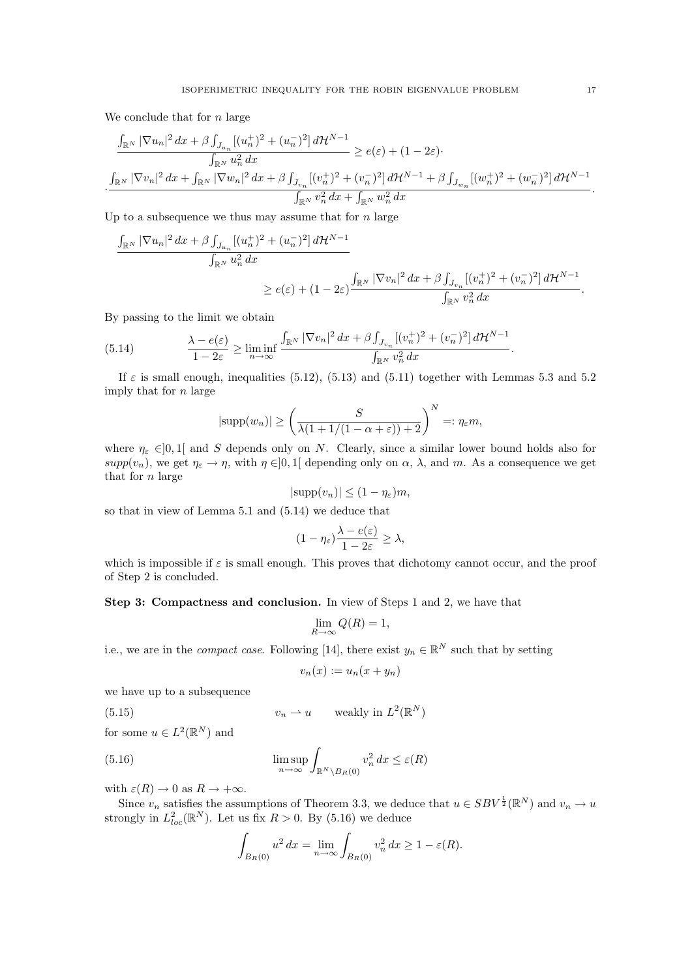We conclude that for  $n$  large

$$
\frac{\int_{\mathbb{R}^N} |\nabla u_n|^2 dx + \beta \int_{J_{u_n}} [(u_n^+)^2 + (u_n^-)^2] d\mathcal{H}^{N-1}}{\int_{\mathbb{R}^N} u_n^2 dx} \ge e(\varepsilon) + (1 - 2\varepsilon) \cdot \frac{\int_{\mathbb{R}^N} |\nabla v_n|^2 dx + \int_{\mathbb{R}^N} |\nabla w_n|^2 dx + \beta \int_{J_{v_n}} [(v_n^+)^2 + (v_n^-)^2] d\mathcal{H}^{N-1} + \beta \int_{J_{w_n}} [(w_n^+)^2 + (w_n^-)^2] d\mathcal{H}^{N-1}}{\int_{\mathbb{R}^N} v_n^2 dx + \int_{\mathbb{R}^N} w_n^2 dx}.
$$

Up to a subsequence we thus may assume that for  $n$  large

$$
\frac{\int_{\mathbb{R}^N} |\nabla u_n|^2 dx + \beta \int_{J_{u_n}} [(u_n^+)^2 + (u_n^-)^2] d\mathcal{H}^{N-1}}{\int_{\mathbb{R}^N} u_n^2 dx}
$$
  
 
$$
\geq e(\varepsilon) + (1 - 2\varepsilon) \frac{\int_{\mathbb{R}^N} |\nabla v_n|^2 dx + \beta \int_{J_{v_n}} [(v_n^+)^2 + (v_n^-)^2] d\mathcal{H}^{N-1}}{\int_{\mathbb{R}^N} v_n^2 dx}.
$$

By passing to the limit we obtain

(5.14) 
$$
\frac{\lambda - e(\varepsilon)}{1 - 2\varepsilon} \ge \liminf_{n \to \infty} \frac{\int_{\mathbb{R}^N} |\nabla v_n|^2 dx + \beta \int_{J_{v_n}} [(v_n^+)^2 + (v_n^-)^2] d\mathcal{H}^{N-1}}{\int_{\mathbb{R}^N} v_n^2 dx}
$$

If  $\varepsilon$  is small enough, inequalities (5.12), (5.13) and (5.11) together with Lemmas 5.3 and 5.2 imply that for n large

$$
|\text{supp}(w_n)| \ge \left(\frac{S}{\lambda(1+1/(1-\alpha+\varepsilon))+2}\right)^N =: \eta_{\varepsilon} m,
$$

where  $\eta_{\varepsilon} \in ]0,1[$  and S depends only on N. Clearly, since a similar lower bound holds also for supp $(v_n)$ , we get  $\eta_{\varepsilon} \to \eta$ , with  $\eta \in ]0,1[$  depending only on  $\alpha$ ,  $\lambda$ , and m. As a consequence we get that for  $n$  large

$$
|\text{supp}(v_n)| \le (1 - \eta_{\varepsilon})m,
$$

so that in view of Lemma 5.1 and (5.14) we deduce that

$$
(1-\eta_\varepsilon)\frac{\lambda-e(\varepsilon)}{1-2\varepsilon}\geq\lambda,
$$

which is impossible if  $\varepsilon$  is small enough. This proves that dichotomy cannot occur, and the proof of Step 2 is concluded.

Step 3: Compactness and conclusion. In view of Steps 1 and 2, we have that

$$
\lim_{R \to \infty} Q(R) = 1,
$$

i.e., we are in the *compact case*. Following [14], there exist  $y_n \in \mathbb{R}^N$  such that by setting

$$
v_n(x) := u_n(x + y_n)
$$

we have up to a subsequence

(5.15) 
$$
v_n \rightharpoonup u \qquad \text{weakly in } L^2(\mathbb{R}^N)
$$

for some  $u \in L^2(\mathbb{R}^N)$  and

(5.16) 
$$
\limsup_{n \to \infty} \int_{\mathbb{R}^N \setminus B_R(0)} v_n^2 dx \le \varepsilon(R)
$$

with  $\varepsilon(R) \to 0$  as  $R \to +\infty$ .

Since  $v_n$  satisfies the assumptions of Theorem 3.3, we deduce that  $u \in SBV^{\frac{1}{2}}(\mathbb{R}^N)$  and  $v_n \to u$ strongly in  $L^2_{loc}(\mathbb{R}^N)$ . Let us fix  $R > 0$ . By (5.16) we deduce

$$
\int_{B_R(0)} u^2 dx = \lim_{n \to \infty} \int_{B_R(0)} v_n^2 dx \ge 1 - \varepsilon(R).
$$

.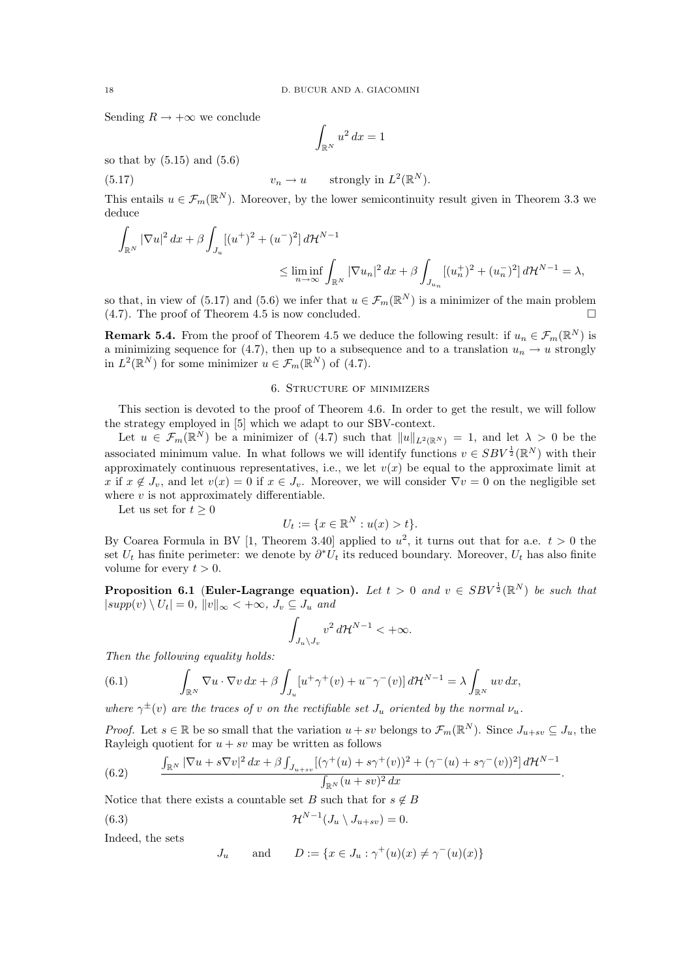Sending  $R \to +\infty$  we conclude

$$
\int_{\mathbb{R}^N} u^2 \, dx = 1
$$

so that by  $(5.15)$  and  $(5.6)$ 

(5.17) 
$$
v_n \to u \quad \text{strongly in } L^2(\mathbb{R}^N).
$$

This entails  $u \in \mathcal{F}_m(\mathbb{R}^N)$ . Moreover, by the lower semicontinuity result given in Theorem 3.3 we deduce

$$
\int_{\mathbb{R}^N} |\nabla u|^2 dx + \beta \int_{J_u} [(u^+)^2 + (u^-)^2] d\mathcal{H}^{N-1}
$$
\n
$$
\leq \liminf_{n \to \infty} \int_{\mathbb{R}^N} |\nabla u_n|^2 dx + \beta \int_{J_{u_n}} [(u_n^+)^2 + (u_n^-)^2] d\mathcal{H}^{N-1} = \lambda,
$$

so that, in view of (5.17) and (5.6) we infer that  $u \in \mathcal{F}_m(\mathbb{R}^N)$  is a minimizer of the main problem (4.7). The proof of Theorem 4.5 is now concluded.  $\square$ 

**Remark 5.4.** From the proof of Theorem 4.5 we deduce the following result: if  $u_n \in \mathcal{F}_m(\mathbb{R}^N)$  is a minimizing sequence for (4.7), then up to a subsequence and to a translation  $u_n \to u$  strongly in  $L^2(\mathbb{R}^N)$  for some minimizer  $u \in \mathcal{F}_m(\mathbb{R}^N)$  of (4.7).

## 6. Structure of minimizers

This section is devoted to the proof of Theorem 4.6. In order to get the result, we will follow the strategy employed in [5] which we adapt to our SBV-context.

Let  $u \in \mathcal{F}_m(\mathbb{R}^N)$  be a minimizer of  $(4.7)$  such that  $||u||_{L^2(\mathbb{R}^N)} = 1$ , and let  $\lambda > 0$  be the associated minimum value. In what follows we will identify functions  $v \in SBV^{\frac{1}{2}}(\mathbb{R}^N)$  with their approximately continuous representatives, i.e., we let  $v(x)$  be equal to the approximate limit at x if  $x \notin J_v$ , and let  $v(x) = 0$  if  $x \in J_v$ . Moreover, we will consider  $\nabla v = 0$  on the negligible set where  $v$  is not approximately differentiable.

Let us set for  $t \geq 0$ 

$$
U_t := \{ x \in \mathbb{R}^N : u(x) > t \}.
$$

By Coarea Formula in BV [1, Theorem 3.40] applied to  $u^2$ , it turns out that for a.e.  $t > 0$  the set  $U_t$  has finite perimeter: we denote by  $\partial^* U_t$  its reduced boundary. Moreover,  $U_t$  has also finite volume for every  $t > 0$ .

**Proposition 6.1** (Euler-Lagrange equation). Let  $t > 0$  and  $v \in SBV^{\frac{1}{2}}(\mathbb{R}^{N})$  be such that  $|supp(v) \setminus U_t| = 0, ||v||_{\infty} < +\infty, J_v \subseteq J_u$  and

$$
\int_{J_u\backslash J_v} v^2\,d{\mathcal H}^{N-1}<+\infty.
$$

Then the following equality holds:

(6.1) 
$$
\int_{\mathbb{R}^N} \nabla u \cdot \nabla v \, dx + \beta \int_{J_u} [u^+ \gamma^+ (v) + u^- \gamma^- (v)] d\mathcal{H}^{N-1} = \lambda \int_{\mathbb{R}^N} uv \, dx,
$$

where  $\gamma^{\pm}(v)$  are the traces of v on the rectifiable set  $J_u$  oriented by the normal  $\nu_u$ .

*Proof.* Let  $s \in \mathbb{R}$  be so small that the variation  $u + sv$  belongs to  $\mathcal{F}_m(\mathbb{R}^N)$ . Since  $J_{u+sv} \subseteq J_u$ , the Rayleigh quotient for  $u + sv$  may be written as follows

(6.2) 
$$
\frac{\int_{\mathbb{R}^N} |\nabla u + s \nabla v|^2 dx + \beta \int_{J_{u+sv}} [(\gamma^+(u) + s \gamma^+(v))^2 + (\gamma^-(u) + s \gamma^-(v))^2] d\mathcal{H}^{N-1}}{\int_{\mathbb{R}^N} (u + sv)^2 dx}.
$$

Notice that there exists a countable set B such that for  $s \notin B$ 

(6.3) 
$$
\mathcal{H}^{N-1}(J_u \setminus J_{u+sv}) = 0.
$$

Indeed, the sets

$$
J_u \quad \text{and} \quad D := \{ x \in J_u : \gamma^+(u)(x) \neq \gamma^-(u)(x) \}
$$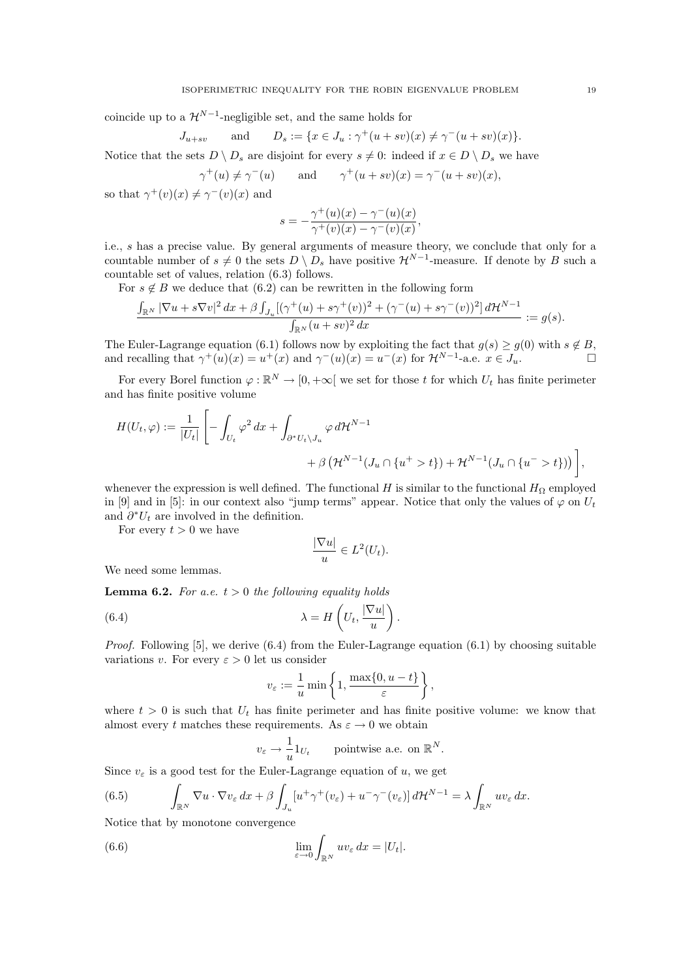coincide up to a  $\mathcal{H}^{N-1}$ -negligible set, and the same holds for

$$
J_{u+sv} \quad \text{and} \quad D_s := \{ x \in J_u : \gamma^+(u+sv)(x) \neq \gamma^-(u+sv)(x) \}.
$$

Notice that the sets  $D \setminus D_s$  are disjoint for every  $s \neq 0$ : indeed if  $x \in D \setminus D_s$  we have

$$
\gamma^+(u) \neq \gamma^-(u)
$$
 and  $\gamma^+(u+sv)(x) = \gamma^-(u+sv)(x)$ ,

so that  $\gamma^+(v)(x) \neq \gamma^-(v)(x)$  and

$$
s = -\frac{\gamma^+(u)(x) - \gamma^-(u)(x)}{\gamma^+(v)(x) - \gamma^-(v)(x)},
$$

i.e., s has a precise value. By general arguments of measure theory, we conclude that only for a countable number of  $s \neq 0$  the sets  $D \setminus D_s$  have positive  $\mathcal{H}^{N-1}$ -measure. If denote by B such a countable set of values, relation (6.3) follows.

For  $s \notin B$  we deduce that (6.2) can be rewritten in the following form

$$
\frac{\int_{\mathbb{R}^N}|\nabla u+s\nabla v|^2\,dx+\beta\int_{J_u}[(\gamma^+(u)+s\gamma^+(v))^2+(\gamma^-(u)+s\gamma^-(v))^2]\,d\mathcal{H}^{N-1}}{\int_{\mathbb{R}^N}(u+sv)^2\,dx}:=g(s).
$$

The Euler-Lagrange equation (6.1) follows now by exploiting the fact that  $g(s) \ge g(0)$  with  $s \notin B$ , and recalling that  $\gamma^+(u)(x) = u^+(x)$  and  $\gamma^-(u)(x) = u^-(x)$  for  $\mathcal{H}^{N-1}$ -a.e.  $x \in J_u$ .

For every Borel function  $\varphi : \mathbb{R}^N \to [0, +\infty[$  we set for those t for which  $U_t$  has finite perimeter and has finite positive volume

$$
H(U_t, \varphi) := \frac{1}{|U_t|} \left[ -\int_{U_t} \varphi^2 dx + \int_{\partial^* U_t \setminus J_u} \varphi d\mathcal{H}^{N-1} + \beta \left( \mathcal{H}^{N-1}(J_u \cap \{u^+ > t\}) + \mathcal{H}^{N-1}(J_u \cap \{u^- > t\}) \right) \right],
$$

whenever the expression is well defined. The functional H is similar to the functional  $H_{\Omega}$  employed in [9] and in [5]: in our context also "jump terms" appear. Notice that only the values of  $\varphi$  on  $U_t$ and  $\partial^* U_t$  are involved in the definition.

For every  $t > 0$  we have

$$
\frac{|\nabla u|}{u} \in L^2(U_t).
$$

We need some lemmas.

**Lemma 6.2.** For a.e.  $t > 0$  the following equality holds

(6.4) 
$$
\lambda = H\left(U_t, \frac{|\nabla u|}{u}\right).
$$

*Proof.* Following [5], we derive  $(6.4)$  from the Euler-Lagrange equation  $(6.1)$  by choosing suitable variations v. For every  $\varepsilon > 0$  let us consider

$$
v_{\varepsilon} := \frac{1}{u} \min \left\{ 1, \frac{\max\{0, u - t\}}{\varepsilon} \right\},\,
$$

where  $t > 0$  is such that  $U_t$  has finite perimeter and has finite positive volume: we know that almost every t matches these requirements. As  $\varepsilon \to 0$  we obtain

$$
v_{\varepsilon} \to \frac{1}{u} 1_{U_t}
$$
 pointwise a.e. on  $\mathbb{R}^N$ .

Since  $v_{\varepsilon}$  is a good test for the Euler-Lagrange equation of u, we get

(6.5) 
$$
\int_{\mathbb{R}^N} \nabla u \cdot \nabla v_{\varepsilon} dx + \beta \int_{J_u} [u^+ \gamma^+ (v_{\varepsilon}) + u^- \gamma^- (v_{\varepsilon})] d\mathcal{H}^{N-1} = \lambda \int_{\mathbb{R}^N} u v_{\varepsilon} dx.
$$

Notice that by monotone convergence

(6.6) 
$$
\lim_{\varepsilon \to 0} \int_{\mathbb{R}^N} uv_{\varepsilon} dx = |U_t|.
$$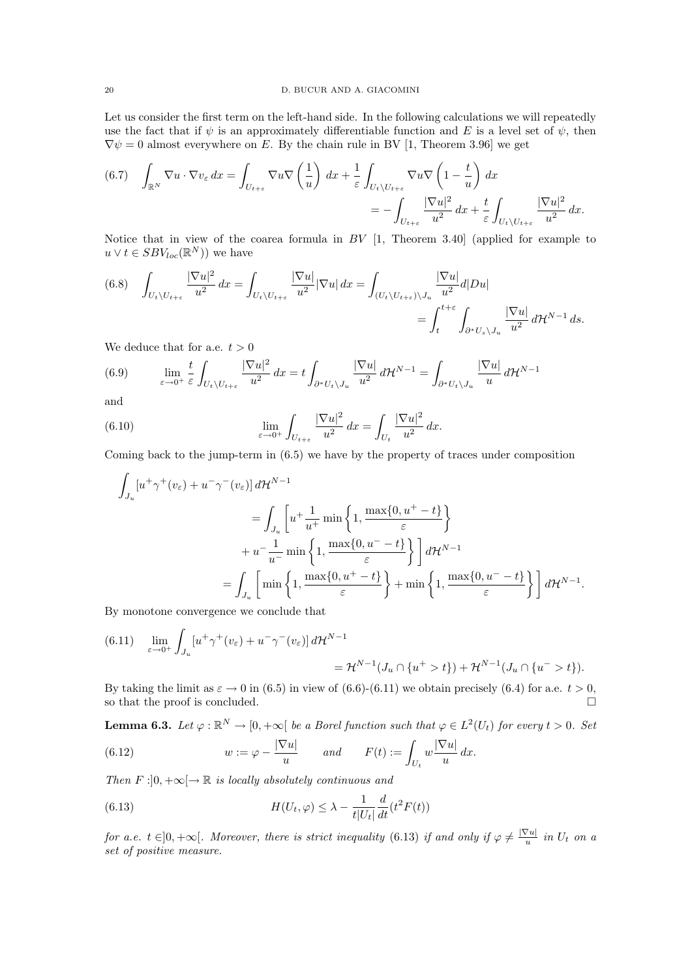Let us consider the first term on the left-hand side. In the following calculations we will repeatedly use the fact that if  $\psi$  is an approximately differentiable function and E is a level set of  $\psi$ , then  $\nabla \psi = 0$  almost everywhere on E. By the chain rule in BV [1, Theorem 3.96] we get

$$
(6.7) \quad \int_{\mathbb{R}^N} \nabla u \cdot \nabla v_{\varepsilon} \, dx = \int_{U_{t+\varepsilon}} \nabla u \nabla \left(\frac{1}{u}\right) \, dx + \frac{1}{\varepsilon} \int_{U_t \setminus U_{t+\varepsilon}} \nabla u \nabla \left(1 - \frac{t}{u}\right) \, dx
$$

$$
= - \int_{U_{t+\varepsilon}} \frac{|\nabla u|^2}{u^2} \, dx + \frac{t}{\varepsilon} \int_{U_t \setminus U_{t+\varepsilon}} \frac{|\nabla u|^2}{u^2} \, dx.
$$

Notice that in view of the coarea formula in BV [1, Theorem 3.40] (applied for example to  $u \vee t \in SBV_{loc}(\mathbb{R}^N)$  we have

(6.8) 
$$
\int_{U_t \setminus U_{t+\varepsilon}} \frac{|\nabla u|^2}{u^2} dx = \int_{U_t \setminus U_{t+\varepsilon}} \frac{|\nabla u|}{u^2} |\nabla u| dx = \int_{(U_t \setminus U_{t+\varepsilon}) \setminus J_u} \frac{|\nabla u|}{u^2} d|D u|
$$
  
= 
$$
\int_t^{t+\varepsilon} \int_{\partial^* U_s \setminus J_u} \frac{|\nabla u|}{u^2} d\mathcal{H}^{N-1} ds.
$$

We deduce that for a.e.  $t > 0$ 

(6.9) 
$$
\lim_{\varepsilon \to 0^+} \frac{t}{\varepsilon} \int_{U_t \setminus U_{t+\varepsilon}} \frac{|\nabla u|^2}{u^2} dx = t \int_{\partial^* U_t \setminus J_u} \frac{|\nabla u|}{u^2} d\mathcal{H}^{N-1} = \int_{\partial^* U_t \setminus J_u} \frac{|\nabla u|}{u} d\mathcal{H}^{N-1}
$$

and

(6.10) 
$$
\lim_{\varepsilon \to 0^+} \int_{U_{t+\varepsilon}} \frac{|\nabla u|^2}{u^2} dx = \int_{U_t} \frac{|\nabla u|^2}{u^2} dx.
$$

Coming back to the jump-term in (6.5) we have by the property of traces under composition

$$
\int_{J_u} [u^+ \gamma^+ (v_{\varepsilon}) + u^- \gamma^- (v_{\varepsilon})] d\mathcal{H}^{N-1}
$$
\n
$$
= \int_{J_u} \left[ u^+ \frac{1}{u^+} \min \left\{ 1, \frac{\max\{0, u^+ - t\}}{\varepsilon} \right\} \right]
$$
\n
$$
+ u^- \frac{1}{u^-} \min \left\{ 1, \frac{\max\{0, u^- - t\}}{\varepsilon} \right\} \right] d\mathcal{H}^{N-1}
$$
\n
$$
= \int_{J_u} \left[ \min \left\{ 1, \frac{\max\{0, u^+ - t\}}{\varepsilon} \right\} + \min \left\{ 1, \frac{\max\{0, u^- - t\}}{\varepsilon} \right\} \right] d\mathcal{H}^{N-1}.
$$

By monotone convergence we conclude that

$$
(6.11) \quad \lim_{\varepsilon \to 0^+} \int_{J_u} \left[ u^+ \gamma^+ (v_\varepsilon) + u^- \gamma^- (v_\varepsilon) \right] d\mathcal{H}^{N-1}
$$
  
=  $\mathcal{H}^{N-1} (J_u \cap \{ u^+ > t \}) + \mathcal{H}^{N-1} (J_u \cap \{ u^- > t \}).$ 

By taking the limit as  $\varepsilon \to 0$  in (6.5) in view of (6.6)-(6.11) we obtain precisely (6.4) for a.e.  $t > 0$ , so that the proof is concluded.  $\hfill \square$ 

**Lemma 6.3.** Let  $\varphi : \mathbb{R}^N \to [0, +\infty[$  be a Borel function such that  $\varphi \in L^2(U_t)$  for every  $t > 0$ . Set

(6.12) 
$$
w := \varphi - \frac{|\nabla u|}{u} \quad \text{and} \quad F(t) := \int_{U_t} w \frac{|\nabla u|}{u} dx.
$$

Then  $F : ]0, +\infty[ \rightarrow \mathbb{R}$  is locally absolutely continuous and

(6.13) 
$$
H(U_t, \varphi) \leq \lambda - \frac{1}{t|U_t|} \frac{d}{dt} (t^2 F(t))
$$

for a.e.  $t \in ]0, +\infty[$ . Moreover, there is strict inequality (6.13) if and only if  $\varphi \neq \frac{\nabla u}{u}$  $\frac{\sqrt{u}}{u}$  in  $U_t$  on a set of positive measure.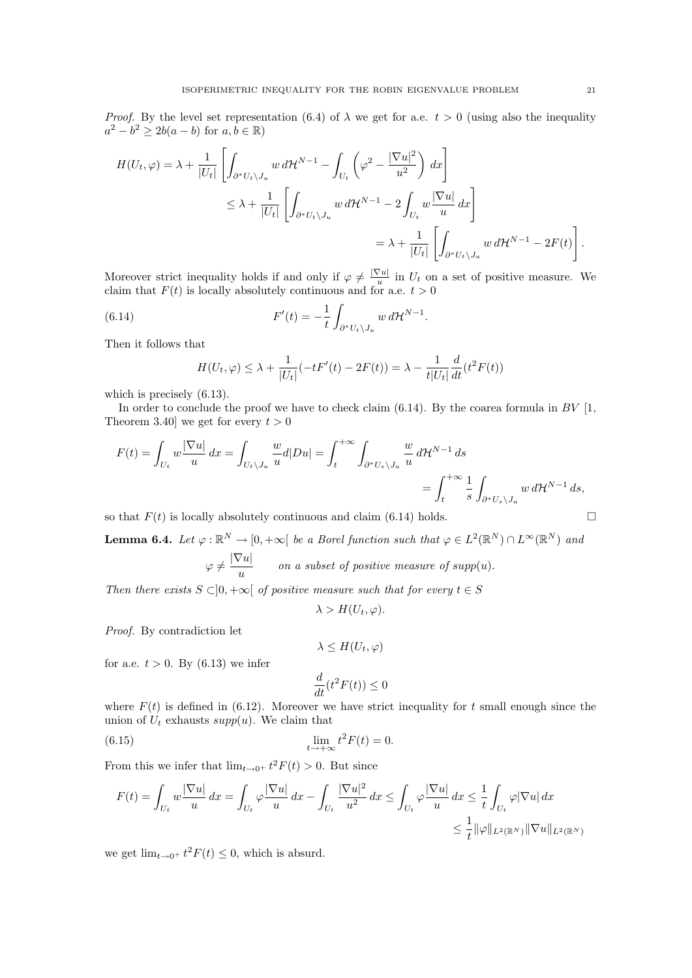*Proof.* By the level set representation (6.4) of  $\lambda$  we get for a.e.  $t > 0$  (using also the inequality  $a^2 - b^2 \ge 2b(a - b)$  for  $a, b \in \mathbb{R}$ )

$$
H(U_t, \varphi) = \lambda + \frac{1}{|U_t|} \left[ \int_{\partial^* U_t \setminus J_u} w \, d\mathcal{H}^{N-1} - \int_{U_t} \left( \varphi^2 - \frac{|\nabla u|^2}{u^2} \right) \, dx \right]
$$
  

$$
\leq \lambda + \frac{1}{|U_t|} \left[ \int_{\partial^* U_t \setminus J_u} w \, d\mathcal{H}^{N-1} - 2 \int_{U_t} w \frac{|\nabla u|}{u} \, dx \right]
$$
  

$$
= \lambda + \frac{1}{|U_t|} \left[ \int_{\partial^* U_t \setminus J_u} w \, d\mathcal{H}^{N-1} - 2F(t) \right].
$$

Moreover strict inequality holds if and only if  $\varphi \neq \frac{|\nabla u|}{|u|}$  $\frac{\partial u}{\partial u}$  in  $U_t$  on a set of positive measure. We claim that  $F(t)$  is locally absolutely continuous and for a.e.  $t > 0$ 

(6.14) 
$$
F'(t) = -\frac{1}{t} \int_{\partial^* U_t \setminus J_u} w \, d\mathcal{H}^{N-1}.
$$

Then it follows that

$$
H(U_t, \varphi) \le \lambda + \frac{1}{|U_t|} (-tF'(t) - 2F(t)) = \lambda - \frac{1}{t|U_t|} \frac{d}{dt} (t^2 F(t))
$$

which is precisely  $(6.13)$ .

In order to conclude the proof we have to check claim  $(6.14)$ . By the coarea formula in BV [1, Theorem 3.40] we get for every  $t > 0$ 

$$
F(t) = \int_{U_t} w \frac{|\nabla u|}{u} dx = \int_{U_t \setminus J_u} \frac{w}{u} d|Du| = \int_t^{+\infty} \int_{\partial^* U_s \setminus J_u} \frac{w}{u} d\mathcal{H}^{N-1} ds
$$
  
= 
$$
\int_t^{+\infty} \frac{1}{s} \int_{\partial^* U_s \setminus J_u} w d\mathcal{H}^{N-1} ds,
$$

so that  $F(t)$  is locally absolutely continuous and claim (6.14) holds.

**Lemma 6.4.** Let  $\varphi : \mathbb{R}^N \to [0, +\infty[$  be a Borel function such that  $\varphi \in L^2(\mathbb{R}^N) \cap L^\infty(\mathbb{R}^N)$  and  $\varphi \neq \frac{|\nabla u|}{ }$  $\frac{u}{u}$  on a subset of positive measure of supp(u).

Then there exists  $S \subset ]0, +\infty[$  of positive measure such that for every  $t \in S$ 

$$
\lambda > H(U_t, \varphi).
$$

Proof. By contradiction let

$$
\lambda \le H(U_t, \varphi)
$$

for a.e.  $t > 0$ . By  $(6.13)$  we infer

$$
\frac{d}{dt}(t^2F(t)) \le 0
$$

where  $F(t)$  is defined in (6.12). Moreover we have strict inequality for t small enough since the union of  $U_t$  exhausts  $supp(u)$ . We claim that

(6.15) 
$$
\lim_{t \to +\infty} t^2 F(t) = 0.
$$

From this we infer that  $\lim_{t\to 0^+} t^2 F(t) > 0$ . But since

$$
F(t) = \int_{U_t} w \frac{|\nabla u|}{u} dx = \int_{U_t} \varphi \frac{|\nabla u|}{u} dx - \int_{U_t} \frac{|\nabla u|^2}{u^2} dx \le \int_{U_t} \varphi \frac{|\nabla u|}{u} dx \le \frac{1}{t} \int_{U_t} \varphi |\nabla u| dx
$$
  

$$
\le \frac{1}{t} ||\varphi||_{L^2(\mathbb{R}^N)} ||\nabla u||_{L^2(\mathbb{R}^N)}
$$

we get  $\lim_{t\to 0^+} t^2 F(t) \leq 0$ , which is absurd.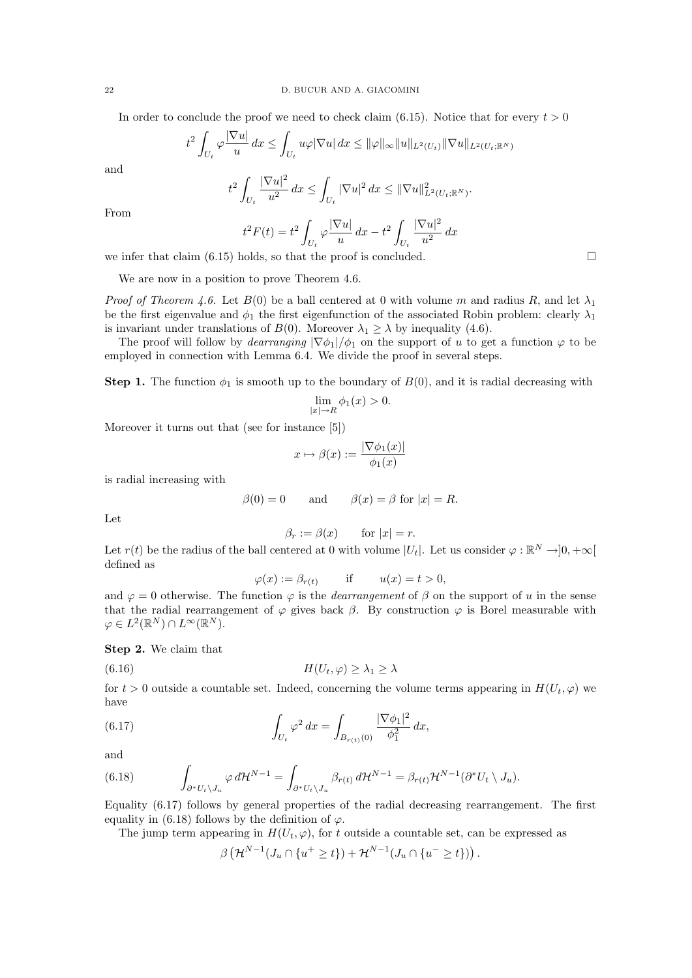In order to conclude the proof we need to check claim (6.15). Notice that for every  $t > 0$ 

$$
t^2 \int_{U_t} \varphi \frac{|\nabla u|}{u} dx \le \int_{U_t} u\varphi |\nabla u| dx \le ||\varphi||_{\infty} ||u||_{L^2(U_t)} ||\nabla u||_{L^2(U_t; \mathbb{R}^N)}
$$

and

$$
t^2 \int_{U_t} \frac{|\nabla u|^2}{u^2} dx \le \int_{U_t} |\nabla u|^2 dx \le ||\nabla u||^2_{L^2(U_t; \mathbb{R}^N)}.
$$

From

$$
t^2 F(t) = t^2 \int_{U_t} \varphi \frac{|\nabla u|}{u} dx - t^2 \int_{U_t} \frac{|\nabla u|^2}{u^2} dx
$$

we infer that claim  $(6.15)$  holds, so that the proof is concluded.

We are now in a position to prove Theorem 4.6.

*Proof of Theorem 4.6.* Let  $B(0)$  be a ball centered at 0 with volume m and radius R, and let  $\lambda_1$ be the first eigenvalue and  $\phi_1$  the first eigenfunction of the associated Robin problem: clearly  $\lambda_1$ is invariant under translations of  $B(0)$ . Moreover  $\lambda_1 > \lambda$  by inequality (4.6).

The proof will follow by *dearranging*  $|\nabla \phi_1|/\phi_1$  on the support of u to get a function  $\varphi$  to be employed in connection with Lemma 6.4. We divide the proof in several steps.

**Step 1.** The function  $\phi_1$  is smooth up to the boundary of  $B(0)$ , and it is radial decreasing with

$$
\lim_{|x| \to R} \phi_1(x) > 0.
$$

Moreover it turns out that (see for instance [5])

$$
x \mapsto \beta(x) := \frac{|\nabla \phi_1(x)|}{\phi_1(x)}
$$

is radial increasing with

$$
\beta(0) = 0
$$
 and  $\beta(x) = \beta$  for  $|x| = R$ .

Let

$$
\beta_r := \beta(x) \qquad \text{for } |x| = r.
$$

Let  $r(t)$  be the radius of the ball centered at 0 with volume  $|U_t|$ . Let us consider  $\varphi : \mathbb{R}^N \to ]0, +\infty[$ defined as

$$
\varphi(x) := \beta_{r(t)} \qquad \text{if} \qquad u(x) = t > 0,
$$

and  $\varphi = 0$  otherwise. The function  $\varphi$  is the *dearrangement* of  $\beta$  on the support of u in the sense that the radial rearrangement of  $\varphi$  gives back  $\beta$ . By construction  $\varphi$  is Borel measurable with  $\varphi \in L^2(\mathbb{R}^N) \cap L^\infty(\mathbb{R}^N).$ 

Step 2. We claim that

(6.16) H(Ut, ϕ) ≥ λ<sup>1</sup> ≥ λ

for  $t > 0$  outside a countable set. Indeed, concerning the volume terms appearing in  $H(U_t, \varphi)$  we have

(6.17) 
$$
\int_{U_t} \varphi^2 dx = \int_{B_{r(t)}(0)} \frac{|\nabla \phi_1|^2}{\phi_1^2} dx,
$$

and

(6.18) 
$$
\int_{\partial^* U_t \setminus J_u} \varphi \, d\mathcal{H}^{N-1} = \int_{\partial^* U_t \setminus J_u} \beta_{r(t)} \, d\mathcal{H}^{N-1} = \beta_{r(t)} \mathcal{H}^{N-1}(\partial^* U_t \setminus J_u).
$$

Equality (6.17) follows by general properties of the radial decreasing rearrangement. The first equality in (6.18) follows by the definition of  $\varphi$ .

The jump term appearing in  $H(U_t, \varphi)$ , for t outside a countable set, can be expressed as

$$
\beta\left(\mathcal{H}^{N-1}(J_u \cap \{u^+ \geq t\}) + \mathcal{H}^{N-1}(J_u \cap \{u^- \geq t\})\right).
$$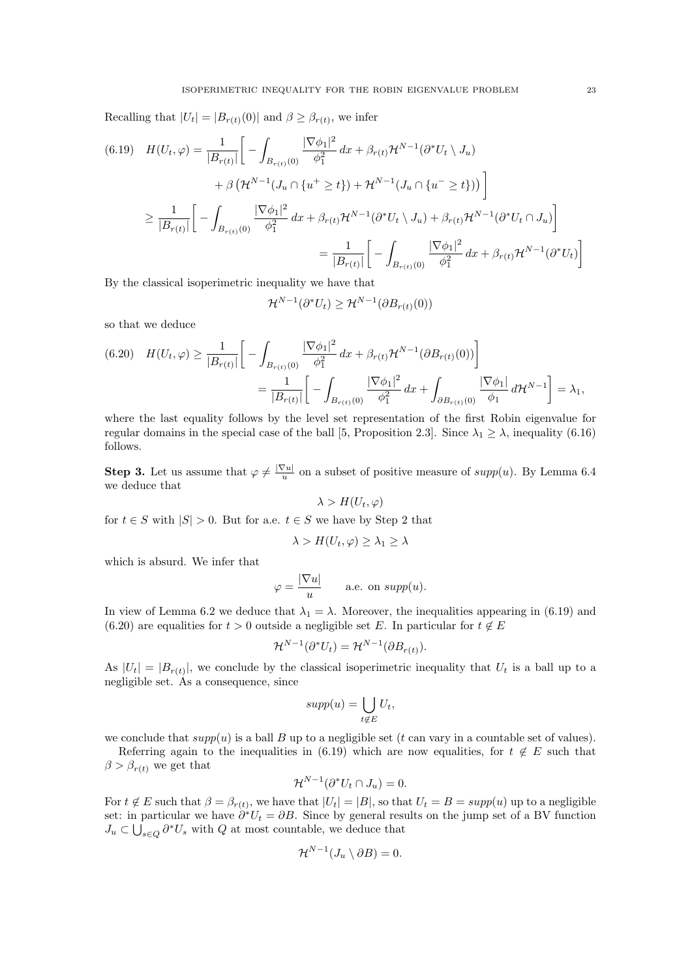Recalling that  $|U_t| = |B_{r(t)}(0)|$  and  $\beta \geq \beta_{r(t)}$ , we infer

$$
(6.19) \quad H(U_t, \varphi) = \frac{1}{|B_{r(t)}|} \left[ -\int_{B_{r(t)}(0)} \frac{|\nabla \phi_1|^2}{\phi_1^2} dx + \beta_{r(t)} \mathcal{H}^{N-1}(\partial^* U_t \setminus J_u) \right. \\ \left. + \beta \left( \mathcal{H}^{N-1} (J_u \cap \{u^+ \ge t\}) + \mathcal{H}^{N-1} (J_u \cap \{u^- \ge t\}) \right) \right]
$$

$$
\ge \frac{1}{|B_{r(t)}|} \left[ -\int_{B_{r(t)}(0)} \frac{|\nabla \phi_1|^2}{\phi_1^2} dx + \beta_{r(t)} \mathcal{H}^{N-1}(\partial^* U_t \setminus J_u) + \beta_{r(t)} \mathcal{H}^{N-1}(\partial^* U_t \cap J_u) \right]
$$

$$
= \frac{1}{|B_{r(t)}|} \left[ -\int_{B_{r(t)}(0)} \frac{|\nabla \phi_1|^2}{\phi_1^2} dx + \beta_{r(t)} \mathcal{H}^{N-1}(\partial^* U_t) \right]
$$

By the classical isoperimetric inequality we have that

$$
\mathcal{H}^{N-1}(\partial^* U_t) \ge \mathcal{H}^{N-1}(\partial B_{r(t)}(0))
$$

so that we deduce

$$
(6.20) \quad H(U_t, \varphi) \ge \frac{1}{|B_{r(t)}|} \left[ -\int_{B_{r(t)}(0)} \frac{|\nabla \phi_1|^2}{\phi_1^2} dx + \beta_{r(t)} \mathcal{H}^{N-1}(\partial B_{r(t)}(0)) \right]
$$
  
= 
$$
\frac{1}{|B_{r(t)}|} \left[ -\int_{B_{r(t)}(0)} \frac{|\nabla \phi_1|^2}{\phi_1^2} dx + \int_{\partial B_{r(t)}(0)} \frac{|\nabla \phi_1|}{\phi_1} d\mathcal{H}^{N-1} \right] = \lambda_1,
$$

where the last equality follows by the level set representation of the first Robin eigenvalue for regular domains in the special case of the ball [5, Proposition 2.3]. Since  $\lambda_1 \geq \lambda$ , inequality (6.16) follows.

**Step 3.** Let us assume that  $\varphi \neq \frac{|\nabla u|}{u}$  $\frac{u}{u}$  on a subset of positive measure of  $supp(u)$ . By Lemma 6.4 we deduce that

$$
\lambda > H(U_t, \varphi)
$$

for  $t \in S$  with  $|S| > 0$ . But for a.e.  $t \in S$  we have by Step 2 that

$$
\lambda > H(U_t, \varphi) \ge \lambda_1 \ge \lambda
$$

which is absurd. We infer that

$$
\varphi = \frac{|\nabla u|}{u} \quad \text{a.e. on } supp(u).
$$

In view of Lemma 6.2 we deduce that  $\lambda_1 = \lambda$ . Moreover, the inequalities appearing in (6.19) and (6.20) are equalities for  $t > 0$  outside a negligible set E. In particular for  $t \notin E$ 

$$
\mathcal{H}^{N-1}(\partial^* U_t) = \mathcal{H}^{N-1}(\partial B_{r(t)}).
$$

As  $|U_t| = |B_{r(t)}|$ , we conclude by the classical isoperimetric inequality that  $U_t$  is a ball up to a negligible set. As a consequence, since

$$
supp(u) = \bigcup_{t \notin E} U_t,
$$

we conclude that  $supp(u)$  is a ball B up to a negligible set (t can vary in a countable set of values).

Referring again to the inequalities in (6.19) which are now equalities, for  $t \notin E$  such that  $\beta > \beta_{r(t)}$  we get that

$$
\mathcal{H}^{N-1}(\partial^* U_t \cap J_u) = 0.
$$

For  $t \notin E$  such that  $\beta = \beta_{r(t)}$ , we have that  $|U_t| = |B|$ , so that  $U_t = B = supp(u)$  up to a negligible set: in particular we have  $\partial^* U_t = \partial B$ . Since by general results on the jump set of a BV function  $J_u \subset \bigcup_{s \in Q} \partial^* U_s$  with Q at most countable, we deduce that

$$
\mathcal{H}^{N-1}(J_u \setminus \partial B) = 0.
$$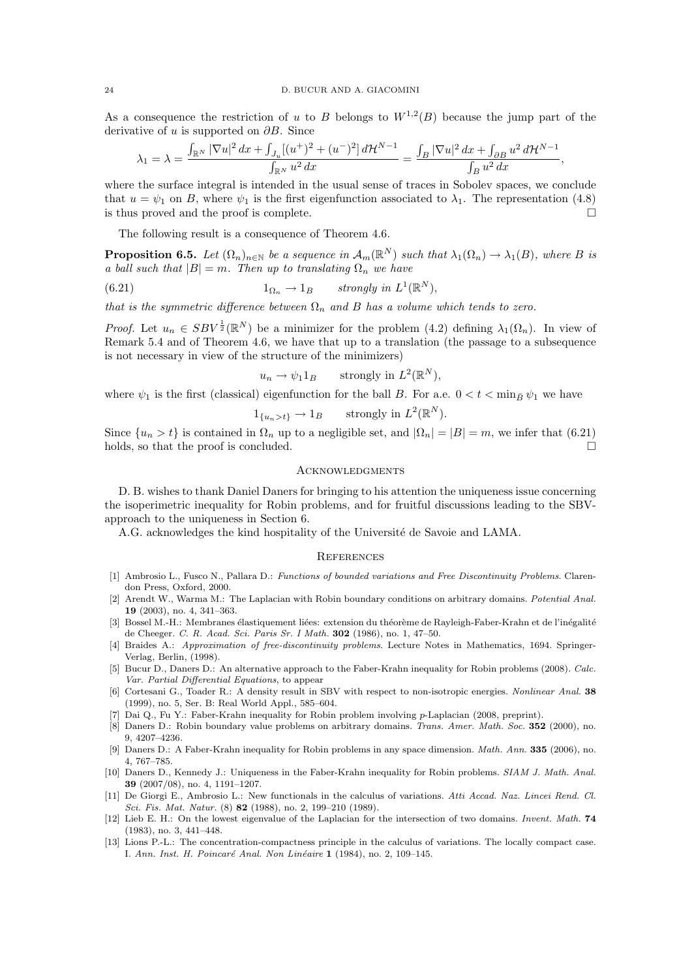As a consequence the restriction of u to B belongs to  $W^{1,2}(B)$  because the jump part of the derivative of u is supported on  $\partial B$ . Since

$$
\lambda_1 = \lambda = \frac{\int_{\mathbb{R}^N} |\nabla u|^2 dx + \int_{J_u} [(u^+)^2 + (u^-)^2] d\mathcal{H}^{N-1}}{\int_{\mathbb{R}^N} u^2 dx} = \frac{\int_B |\nabla u|^2 dx + \int_{\partial B} u^2 d\mathcal{H}^{N-1}}{\int_B u^2 dx},
$$

where the surface integral is intended in the usual sense of traces in Sobolev spaces, we conclude that  $u = \psi_1$  on B, where  $\psi_1$  is the first eigenfunction associated to  $\lambda_1$ . The representation (4.8) is thus proved and the proof is complete.  $\Box$ 

The following result is a consequence of Theorem 4.6.

**Proposition 6.5.** Let  $(\Omega_n)_{n\in\mathbb{N}}$  be a sequence in  $\mathcal{A}_m(\mathbb{R}^N)$  such that  $\lambda_1(\Omega_n) \to \lambda_1(B)$ , where B is a ball such that  $|B| = m$ . Then up to translating  $\Omega_n$  we have

(6.21) 
$$
1_{\Omega_n} \to 1_B \quad strongly \ in \ L^1(\mathbb{R}^N),
$$

that is the symmetric difference between  $\Omega_n$  and B has a volume which tends to zero.

*Proof.* Let  $u_n \in SBV^{\frac{1}{2}}(\mathbb{R}^N)$  be a minimizer for the problem (4.2) defining  $\lambda_1(\Omega_n)$ . In view of Remark 5.4 and of Theorem 4.6, we have that up to a translation (the passage to a subsequence is not necessary in view of the structure of the minimizers)

$$
u_n \to \psi_1 1_B
$$
 strongly in  $L^2(\mathbb{R}^N)$ ,

where  $\psi_1$  is the first (classical) eigenfunction for the ball B. For a.e.  $0 < t < \min_B \psi_1$  we have

$$
1_{\{u_n > t\}} \to 1_B
$$
 strongly in  $L^2(\mathbb{R}^N)$ .

Since  $\{u_n > t\}$  is contained in  $\Omega_n$  up to a negligible set, and  $|\Omega_n| = |B| = m$ , we infer that (6.21) holds, so that the proof is concluded.  $\square$ 

#### **ACKNOWLEDGMENTS**

D. B. wishes to thank Daniel Daners for bringing to his attention the uniqueness issue concerning the isoperimetric inequality for Robin problems, and for fruitful discussions leading to the SBVapproach to the uniqueness in Section 6.

A.G. acknowledges the kind hospitality of the Université de Savoie and LAMA.

#### **REFERENCES**

- [1] Ambrosio L., Fusco N., Pallara D.: Functions of bounded variations and Free Discontinuity Problems. Clarendon Press, Oxford, 2000.
- [2] Arendt W., Warma M.: The Laplacian with Robin boundary conditions on arbitrary domains. Potential Anal. 19 (2003), no. 4, 341–363.
- [3] Bossel M.-H.: Membranes élastiquement liées: extension du théorème de Rayleigh-Faber-Krahn et de l'inégalité de Cheeger. C. R. Acad. Sci. Paris Sr. I Math. 302 (1986), no. 1, 47–50.
- [4] Braides A.: Approximation of free-discontinuity problems. Lecture Notes in Mathematics, 1694. Springer-Verlag, Berlin, (1998).
- [5] Bucur D., Daners D.: An alternative approach to the Faber-Krahn inequality for Robin problems (2008). Calc. Var. Partial Differential Equations, to appear
- [6] Cortesani G., Toader R.: A density result in SBV with respect to non-isotropic energies. Nonlinear Anal. 38 (1999), no. 5, Ser. B: Real World Appl., 585–604.
- [7] Dai Q., Fu Y.: Faber-Krahn inequality for Robin problem involving p-Laplacian (2008, preprint).
- [8] Daners D.: Robin boundary value problems on arbitrary domains. Trans. Amer. Math. Soc. 352 (2000), no. 9, 4207–4236.
- [9] Daners D.: A Faber-Krahn inequality for Robin problems in any space dimension. Math. Ann. 335 (2006), no. 4, 767–785.
- [10] Daners D., Kennedy J.: Uniqueness in the Faber-Krahn inequality for Robin problems. SIAM J. Math. Anal. 39 (2007/08), no. 4, 1191–1207.
- [11] De Giorgi E., Ambrosio L.: New functionals in the calculus of variations. Atti Accad. Naz. Lincei Rend. Cl. Sci. Fis. Mat. Natur. (8) 82 (1988), no. 2, 199–210 (1989).
- [12] Lieb E. H.: On the lowest eigenvalue of the Laplacian for the intersection of two domains. Invent. Math. 74 (1983), no. 3, 441–448.
- [13] Lions P.-L.: The concentration-compactness principle in the calculus of variations. The locally compact case. I. Ann. Inst. H. Poincaré Anal. Non Linéaire 1 (1984), no. 2, 109–145.